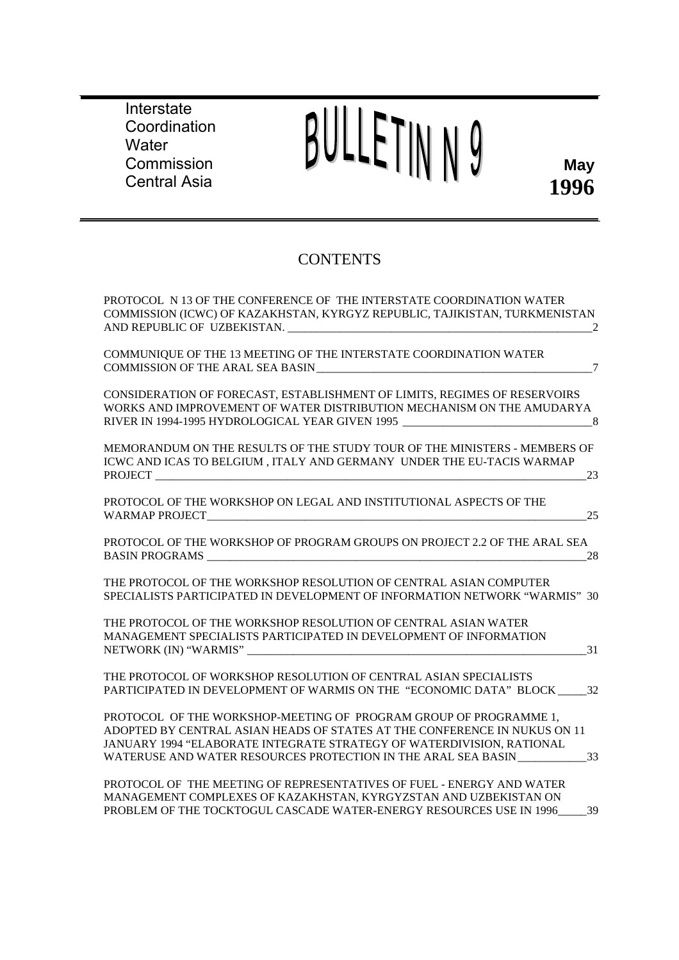**Interstate** Coordination **Water Commission** Central Asia

# BULLETINN9

# **CONTENTS**

| PROTOCOL N 13 OF THE CONFERENCE OF THE INTERSTATE COORDINATION WATER<br>COMMISSION (ICWC) OF KAZAKHSTAN, KYRGYZ REPUBLIC, TAJIKISTAN, TURKMENISTAN<br>2                                                                                                                                        |
|------------------------------------------------------------------------------------------------------------------------------------------------------------------------------------------------------------------------------------------------------------------------------------------------|
| COMMUNIQUE OF THE 13 MEETING OF THE INTERSTATE COORDINATION WATER<br><b>COMMISSION OF THE ARAL SEA BASIN</b><br>$7\phantom{.0}$                                                                                                                                                                |
| CONSIDERATION OF FORECAST, ESTABLISHMENT OF LIMITS, REGIMES OF RESERVOIRS<br>WORKS AND IMPROVEMENT OF WATER DISTRIBUTION MECHANISM ON THE AMUDARYA<br>RIVER IN 1994-1995 HYDROLOGICAL YEAR GIVEN 1995 ________________________________<br>$-8$                                                 |
| MEMORANDUM ON THE RESULTS OF THE STUDY TOUR OF THE MINISTERS - MEMBERS OF<br>ICWC AND ICAS TO BELGIUM, ITALY AND GERMANY UNDER THE EU-TACIS WARMAP<br>23                                                                                                                                       |
| PROTOCOL OF THE WORKSHOP ON LEGAL AND INSTITUTIONAL ASPECTS OF THE<br>25<br>WARMAP PROJECT VARMAP PROJECT                                                                                                                                                                                      |
| PROTOCOL OF THE WORKSHOP OF PROGRAM GROUPS ON PROJECT 2.2 OF THE ARAL SEA<br>28<br><b>BASIN PROGRAMS</b>                                                                                                                                                                                       |
| THE PROTOCOL OF THE WORKSHOP RESOLUTION OF CENTRAL ASIAN COMPUTER<br>SPECIALISTS PARTICIPATED IN DEVELOPMENT OF INFORMATION NETWORK "WARMIS" 30                                                                                                                                                |
| THE PROTOCOL OF THE WORKSHOP RESOLUTION OF CENTRAL ASIAN WATER<br>MANAGEMENT SPECIALISTS PARTICIPATED IN DEVELOPMENT OF INFORMATION<br>31                                                                                                                                                      |
| THE PROTOCOL OF WORKSHOP RESOLUTION OF CENTRAL ASIAN SPECIALISTS<br>PARTICIPATED IN DEVELOPMENT OF WARMIS ON THE "ECONOMIC DATA" BLOCK 32                                                                                                                                                      |
| PROTOCOL OF THE WORKSHOP-MEETING OF PROGRAM GROUP OF PROGRAMME 1,<br>ADOPTED BY CENTRAL ASIAN HEADS OF STATES AT THE CONFERENCE IN NUKUS ON 11<br>JANUARY 1994 "ELABORATE INTEGRATE STRATEGY OF WATERDIVISION, RATIONAL<br>33<br>WATERUSE AND WATER RESOURCES PROTECTION IN THE ARAL SEA BASIN |
| PROTOCOL OF THE MEETING OF REPRESENTATIVES OF FUEL - ENERGY AND WATER<br>MANAGEMENT COMPLEXES OF KAZAKHSTAN, KYRGYZSTAN AND UZBEKISTAN ON<br>PROBLEM OF THE TOCKTOGUL CASCADE WATER-ENERGY RESOURCES USE IN 1996<br>39                                                                         |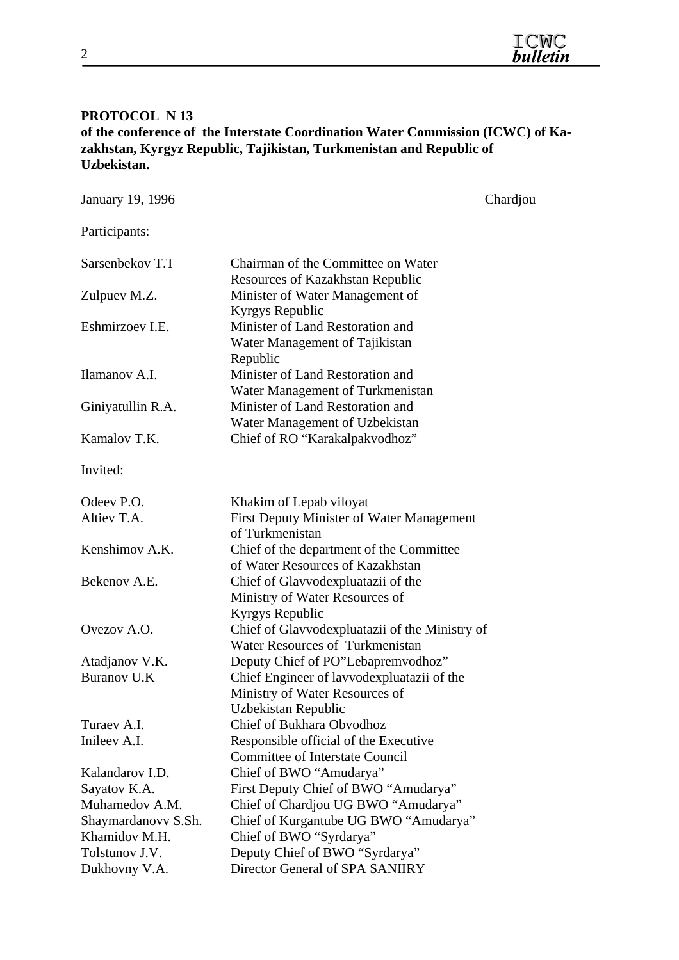#### **PROTOCOL N 13**

**of the conference of the Interstate Coordination Water Commission (ICWC) of Kazakhstan, Kyrgyz Republic, Tajikistan, Turkmenistan and Republic of Uzbekistan.** 

| January 19, 1996    |                                                                                                     | Chardjou |
|---------------------|-----------------------------------------------------------------------------------------------------|----------|
| Participants:       |                                                                                                     |          |
| Sarsenbekov T.T     | Chairman of the Committee on Water                                                                  |          |
| Zulpuev M.Z.        | Resources of Kazakhstan Republic<br>Minister of Water Management of<br>Kyrgys Republic              |          |
| Eshmirzoev I.E.     | Minister of Land Restoration and<br>Water Management of Tajikistan<br>Republic                      |          |
| Ilamanov A.I.       | Minister of Land Restoration and<br>Water Management of Turkmenistan                                |          |
| Giniyatullin R.A.   | Minister of Land Restoration and<br>Water Management of Uzbekistan                                  |          |
| Kamalov T.K.        | Chief of RO "Karakalpakvodhoz"                                                                      |          |
| Invited:            |                                                                                                     |          |
| Odeev P.O.          | Khakim of Lepab viloyat                                                                             |          |
| Altiev T.A.         | First Deputy Minister of Water Management<br>of Turkmenistan                                        |          |
| Kenshimov A.K.      | Chief of the department of the Committee<br>of Water Resources of Kazakhstan                        |          |
| Bekenov A.E.        | Chief of Glavvodexpluatazii of the<br>Ministry of Water Resources of<br>Kyrgys Republic             |          |
| Ovezov A.O.         | Chief of Glavvodexpluatazii of the Ministry of<br>Water Resources of Turkmenistan                   |          |
| Atadjanov V.K.      | Deputy Chief of PO"Lebapremvodhoz"                                                                  |          |
| <b>Buranov U.K</b>  | Chief Engineer of lavvodexpluatazii of the<br>Ministry of Water Resources of<br>Uzbekistan Republic |          |
| Turaev A.I.         | Chief of Bukhara Obvodhoz                                                                           |          |
| Inileev A.I.        | Responsible official of the Executive<br><b>Committee of Interstate Council</b>                     |          |
| Kalandarov I.D.     | Chief of BWO "Amudarya"                                                                             |          |
| Sayatov K.A.        | First Deputy Chief of BWO "Amudarya"                                                                |          |
| Muhamedov A.M.      | Chief of Chardjou UG BWO "Amudarya"                                                                 |          |
| Shaymardanovy S.Sh. | Chief of Kurgantube UG BWO "Amudarya"                                                               |          |
| Khamidov M.H.       | Chief of BWO "Syrdarya"                                                                             |          |
| Tolstunov J.V.      | Deputy Chief of BWO "Syrdarya"                                                                      |          |
| Dukhovny V.A.       | Director General of SPA SANIIRY                                                                     |          |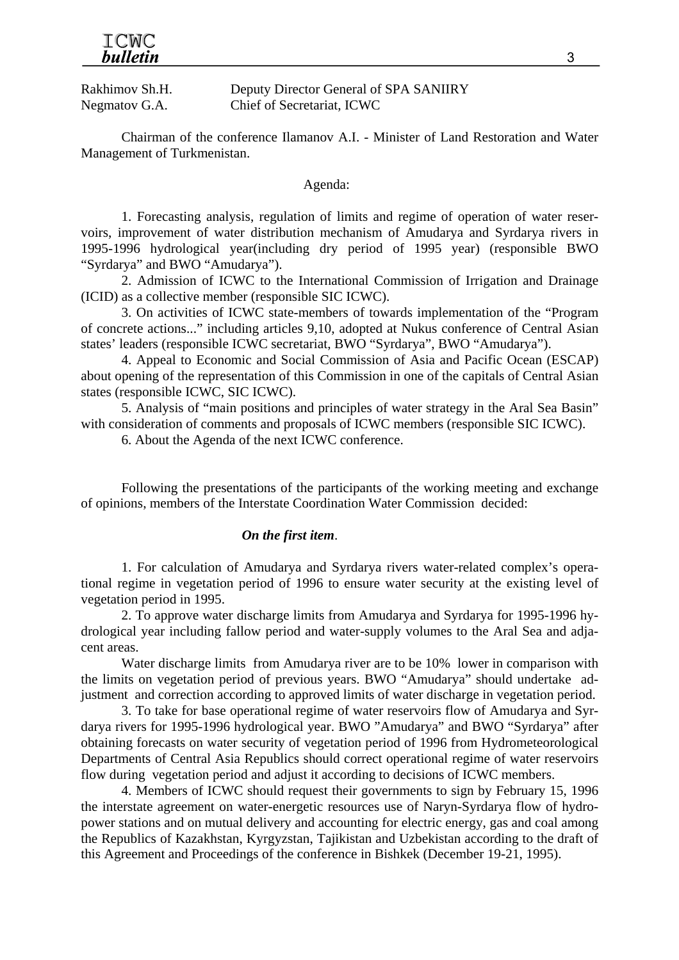Rakhimov Sh.H. Deputy Director General of SPA SANIIRY Negmatov G.A. Chief of Secretariat, ICWC

Chairman of the conference Ilamanov A.I. - Minister of Land Restoration and Water Management of Turkmenistan.

#### Agenda:

1. Forecasting analysis, regulation of limits and regime of operation of water reservoirs, improvement of water distribution mechanism of Amudarya and Syrdarya rivers in 1995-1996 hydrological year(including dry period of 1995 year) (responsible BWO "Syrdarya" and BWO "Amudarya").

2. Admission of ICWC to the International Commission of Irrigation and Drainage (ICID) as a collective member (responsible SIC ICWC).

3. On activities of ICWC state-members of towards implementation of the "Program of concrete actions..." including articles 9,10, adopted at Nukus conference of Central Asian states' leaders (responsible ICWC secretariat, BWO "Syrdarya", BWO "Amudarya").

4. Appeal to Economic and Social Commission of Asia and Pacific Ocean (ESCAP) about opening of the representation of this Commission in one of the capitals of Central Asian states (responsible ICWC, SIC ICWC).

5. Analysis of "main positions and principles of water strategy in the Aral Sea Basin" with consideration of comments and proposals of ICWC members (responsible SIC ICWC).

6. About the Agenda of the next ICWC conference.

Following the presentations of the participants of the working meeting and exchange of opinions, members of the Interstate Coordination Water Commission decided:

#### *On the first item*.

1. For calculation of Amudarya and Syrdarya rivers water-related complex's operational regime in vegetation period of 1996 to ensure water security at the existing level of vegetation period in 1995.

2. To approve water discharge limits from Amudarya and Syrdarya for 1995-1996 hydrological year including fallow period and water-supply volumes to the Aral Sea and adjacent areas.

Water discharge limits from Amudarya river are to be 10% lower in comparison with the limits on vegetation period of previous years. BWO "Amudarya" should undertake adjustment and correction according to approved limits of water discharge in vegetation period.

3. To take for base operational regime of water reservoirs flow of Amudarya and Syrdarya rivers for 1995-1996 hydrological year. BWO "Amudarya" and BWO "Syrdarya" after obtaining forecasts on water security of vegetation period of 1996 from Hydrometeorological Departments of Central Asia Republics should correct operational regime of water reservoirs flow during vegetation period and adjust it according to decisions of ICWC members.

4. Members of ICWC should request their governments to sign by February 15, 1996 the interstate agreement on water-energetic resources use of Naryn-Syrdarya flow of hydropower stations and on mutual delivery and accounting for electric energy, gas and coal among the Republics of Kazakhstan, Kyrgyzstan, Tajikistan and Uzbekistan according to the draft of this Agreement and Proceedings of the conference in Bishkek (December 19-21, 1995).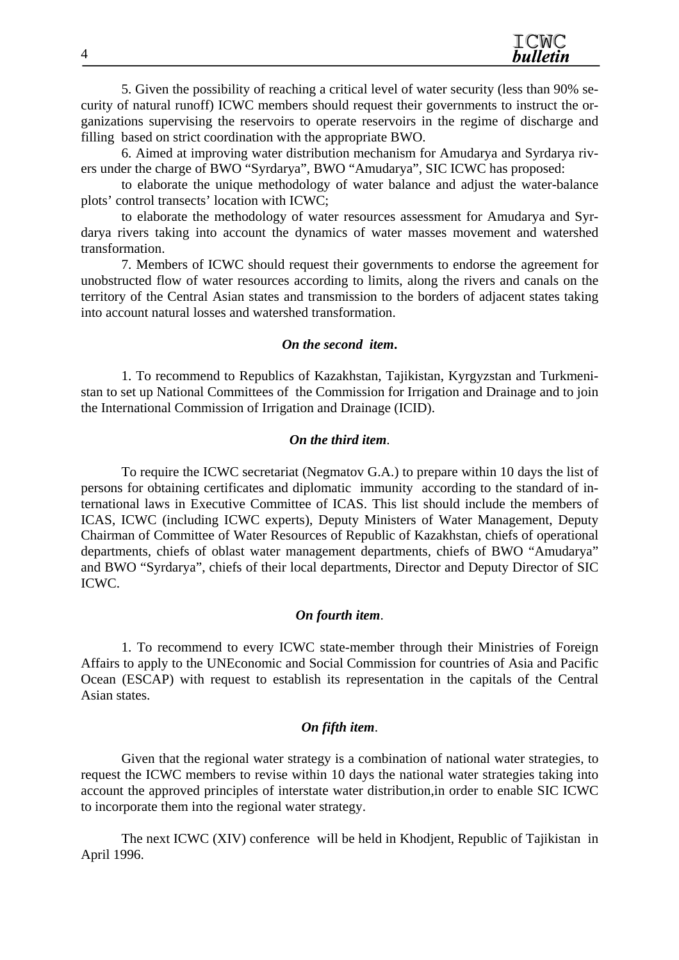5. Given the possibility of reaching a critical level of water security (less than 90% security of natural runoff) ICWC members should request their governments to instruct the organizations supervising the reservoirs to operate reservoirs in the regime of discharge and filling based on strict coordination with the appropriate BWO.

6. Aimed at improving water distribution mechanism for Amudarya and Syrdarya rivers under the charge of BWO "Syrdarya", BWO "Amudarya", SIC ICWC has proposed:

to elaborate the unique methodology of water balance and adjust the water-balance plots' control transects' location with ICWC;

to elaborate the methodology of water resources assessment for Amudarya and Syrdarya rivers taking into account the dynamics of water masses movement and watershed transformation.

7. Members of ICWC should request their governments to endorse the agreement for unobstructed flow of water resources according to limits, along the rivers and canals on the territory of the Central Asian states and transmission to the borders of adjacent states taking into account natural losses and watershed transformation.

#### *On the second item***.**

1. To recommend to Republics of Kazakhstan, Tajikistan, Kyrgyzstan and Turkmenistan to set up National Committees of the Commission for Irrigation and Drainage and to join the International Commission of Irrigation and Drainage (ICID).

#### *On the third item*.

To require the ICWC secretariat (Negmatov G.A.) to prepare within 10 days the list of persons for obtaining certificates and diplomatic immunity according to the standard of international laws in Executive Committee of ICAS. This list should include the members of ICAS, ICWC (including ICWC experts), Deputy Ministers of Water Management, Deputy Chairman of Committee of Water Resources of Republic of Kazakhstan, chiefs of operational departments, chiefs of oblast water management departments, chiefs of BWO "Amudarya" and BWO "Syrdarya", chiefs of their local departments, Director and Deputy Director of SIC ICWC.

#### *On fourth item*.

1. To recommend to every ICWC state-member through their Ministries of Foreign Affairs to apply to the UNEconomic and Social Commission for countries of Asia and Pacific Ocean (ESCAP) with request to establish its representation in the capitals of the Central Asian states.

#### *On fifth item*.

Given that the regional water strategy is a combination of national water strategies, to request the ICWC members to revise within 10 days the national water strategies taking into account the approved principles of interstate water distribution,in order to enable SIC ICWC to incorporate them into the regional water strategy.

The next ICWC (XIV) conference will be held in Khodjent, Republic of Tajikistan in April 1996.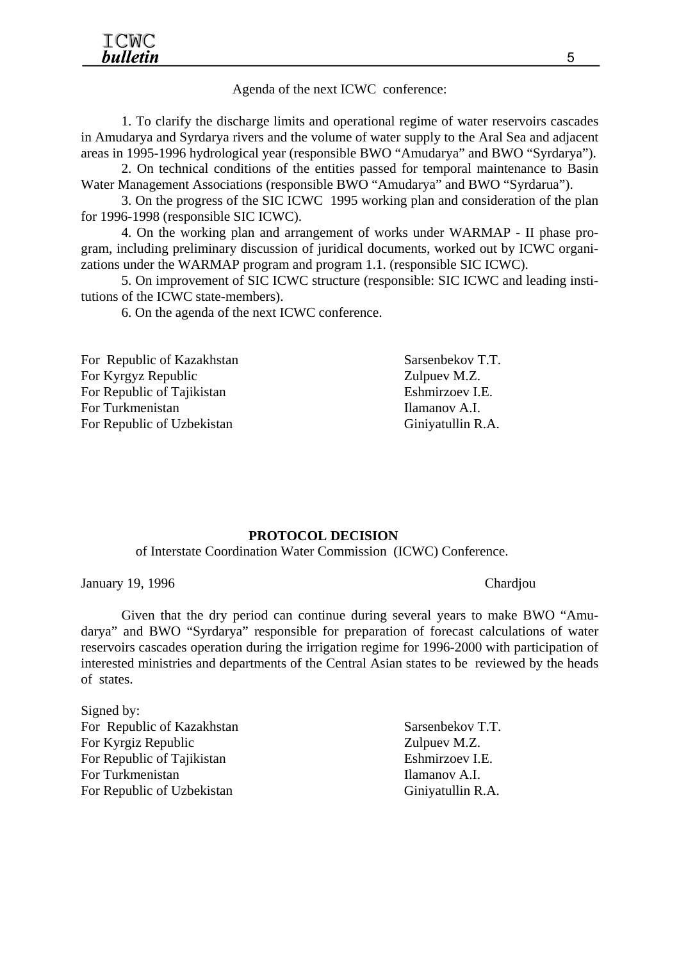#### Agenda of the next ICWC conference:

1. To clarify the discharge limits and operational regime of water reservoirs cascades in Amudarya and Syrdarya rivers and the volume of water supply to the Aral Sea and adjacent areas in 1995-1996 hydrological year (responsible BWO "Amudarya" and BWO "Syrdarya").

2. On technical conditions of the entities passed for temporal maintenance to Basin Water Management Associations (responsible BWO "Amudarya" and BWO "Syrdarua").

3. On the progress of the SIC ICWC 1995 working plan and consideration of the plan for 1996-1998 (responsible SIC ICWC).

4. On the working plan and arrangement of works under WARMAP - II phase program, including preliminary discussion of juridical documents, worked out by ICWC organizations under the WARMAP program and program 1.1. (responsible SIC ICWC).

5. On improvement of SIC ICWC structure (responsible: SIC ICWC and leading institutions of the ICWC state-members).

6. On the agenda of the next ICWC conference.

For Republic of Kazakhstan Sarsenbekov T.T. For Kyrgyz Republic Zulpuev M.Z. For Republic of Tajikistan Eshmirzoev I.E. For Turkmenistan Ilamanov A.I. For Republic of Uzbekistan Giniyatullin R.A.

#### **PROTOCOL DECISION**

of Interstate Coordination Water Commission (ICWC) Conference.

January 19, 1996 Chardjou

Given that the dry period can continue during several years to make BWO "Amudarya" and BWO "Syrdarya" responsible for preparation of forecast calculations of water reservoirs cascades operation during the irrigation regime for 1996-2000 with participation of interested ministries and departments of the Central Asian states to be reviewed by the heads of states.

Signed by: For Republic of Kazakhstan Sarsenbekov T.T. For Kyrgiz Republic Zulpuev M.Z. For Republic of Tajikistan Eshmirzoev I.E. For Turkmenistan Ilamanov A.I. For Republic of Uzbekistan Giniyatullin R.A.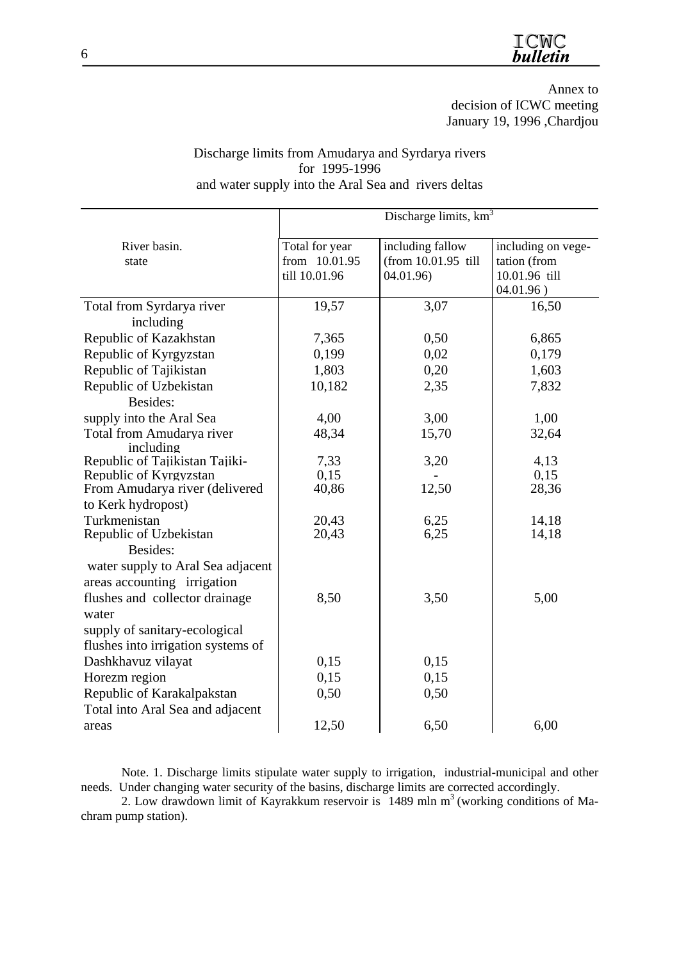Annex to decision of ICWC meeting January 19, 1996 ,Chardjou

#### Discharge limits from Amudarya and Syrdarya rivers for 1995-1996 and water supply into the Aral Sea and rivers deltas

|                                        | Discharge limits, km <sup>3</sup> |                     |                    |  |  |  |
|----------------------------------------|-----------------------------------|---------------------|--------------------|--|--|--|
| River basin.                           | Total for year                    | including fallow    | including on vege- |  |  |  |
| state                                  | from 10.01.95                     | (from 10.01.95 till | tation (from       |  |  |  |
|                                        | till 10.01.96                     | 04.01.96)           | 10.01.96 till      |  |  |  |
|                                        |                                   |                     | 04.01.96)          |  |  |  |
| Total from Syrdarya river              | 19,57                             | 3,07                | 16,50              |  |  |  |
| including                              |                                   |                     |                    |  |  |  |
| Republic of Kazakhstan                 | 7,365                             | 0,50                | 6,865              |  |  |  |
| Republic of Kyrgyzstan                 | 0,199                             | 0,02                | 0,179              |  |  |  |
| Republic of Tajikistan                 | 1,803                             | 0,20                | 1,603              |  |  |  |
| Republic of Uzbekistan                 | 10,182                            | 2,35                | 7,832              |  |  |  |
| Besides:                               |                                   |                     |                    |  |  |  |
| supply into the Aral Sea               | 4,00                              | 3,00                | 1,00               |  |  |  |
| Total from Amudarya river              | 48,34                             | 15,70               | 32,64              |  |  |  |
| including                              |                                   |                     |                    |  |  |  |
| Republic of Tajikistan Tajiki-         | 7,33                              | 3,20                | 4,13               |  |  |  |
| Republic of Kyrgyzstan                 | 0,15                              |                     | 0,15               |  |  |  |
| From Amudarya river (delivered         | 40,86                             | 12,50               | 28,36              |  |  |  |
| to Kerk hydropost)                     |                                   |                     |                    |  |  |  |
| Turkmenistan<br>Republic of Uzbekistan | 20,43<br>20,43                    | 6,25<br>6,25        | 14,18<br>14,18     |  |  |  |
| Besides:                               |                                   |                     |                    |  |  |  |
| water supply to Aral Sea adjacent      |                                   |                     |                    |  |  |  |
| areas accounting irrigation            |                                   |                     |                    |  |  |  |
| flushes and collector drainage         | 8,50                              | 3,50                | 5,00               |  |  |  |
| water                                  |                                   |                     |                    |  |  |  |
|                                        |                                   |                     |                    |  |  |  |
| supply of sanitary-ecological          |                                   |                     |                    |  |  |  |
| flushes into irrigation systems of     |                                   |                     |                    |  |  |  |
| Dashkhavuz vilayat                     | 0,15                              | 0,15                |                    |  |  |  |
| Horezm region                          | 0,15                              | 0,15                |                    |  |  |  |
| Republic of Karakalpakstan             | 0,50                              | 0,50                |                    |  |  |  |
| Total into Aral Sea and adjacent       |                                   |                     |                    |  |  |  |
| areas                                  | 12,50                             | 6,50                | 6,00               |  |  |  |

Note. 1. Discharge limits stipulate water supply to irrigation, industrial-municipal and other needs. Under changing water security of the basins, discharge limits are corrected accordingly.

2. Low drawdown limit of Kayrakkum reservoir is  $1489$  mln m<sup>3</sup> (working conditions of Machram pump station).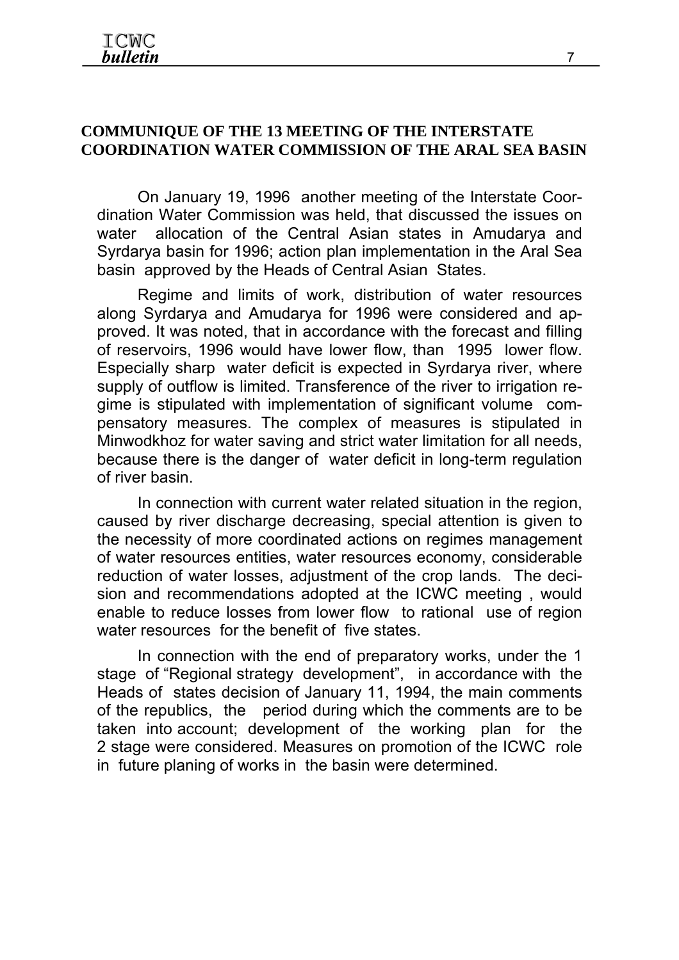## **COMMUNIQUE OF THE 13 MEETING OF THE INTERSTATE COORDINATION WATER COMMISSION OF THE ARAL SEA BASIN**

On January 19, 1996 another meeting of the Interstate Coordination Water Commission was held, that discussed the issues on water allocation of the Central Asian states in Amudarya and Syrdarya basin for 1996; action plan implementation in the Aral Sea basin approved by the Heads of Central Asian States.

Regime and limits of work, distribution of water resources along Syrdarya and Amudarya for 1996 were considered and approved. It was noted, that in accordance with the forecast and filling of reservoirs, 1996 would have lower flow, than 1995 lower flow. Especially sharp water deficit is expected in Syrdarya river, where supply of outflow is limited. Transference of the river to irrigation regime is stipulated with implementation of significant volume compensatory measures. The complex of measures is stipulated in Minwodkhoz for water saving and strict water limitation for all needs, because there is the danger of water deficit in long-term regulation of river basin.

In connection with current water related situation in the region, caused by river discharge decreasing, special attention is given to the necessity of more coordinated actions on regimes management of water resources entities, water resources economy, considerable reduction of water losses, adjustment of the crop lands. The decision and recommendations adopted at the ICWC meeting , would enable to reduce losses from lower flow to rational use of region water resources for the benefit of five states.

In connection with the end of preparatory works, under the 1 stage of "Regional strategy development", in accordance with the Heads of states decision of January 11, 1994, the main comments of the republics, the period during which the comments are to be taken into account; development of the working plan for the 2 stage were considered. Measures on promotion of the ICWC role in future planing of works in the basin were determined.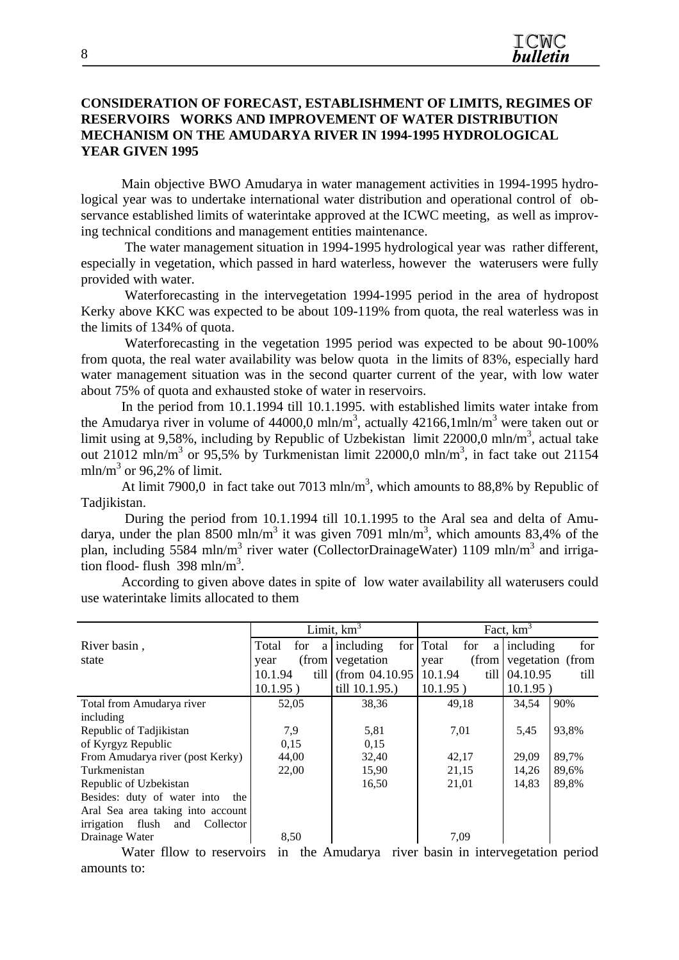#### **CONSIDERATION OF FORECAST, ESTABLISHMENT OF LIMITS, REGIMES OF RESERVOIRS WORKS AND IMPROVEMENT OF WATER DISTRIBUTION MECHANISM ON THE AMUDARYA RIVER IN 1994-1995 HYDROLOGICAL YEAR GIVEN 1995**

Main objective BWO Amudarya in water management activities in 1994-1995 hydrological year was to undertake international water distribution and operational control of observance established limits of waterintake approved at the ICWC meeting, as well as improving technical conditions and management entities maintenance.

 The water management situation in 1994-1995 hydrological year was rather different, especially in vegetation, which passed in hard waterless, however the waterusers were fully provided with water.

 Waterforecasting in the intervegetation 1994-1995 period in the area of hydropost Kerky above KKC was expected to be about 109-119% from quota, the real waterless was in the limits of 134% of quota.

 Waterforecasting in the vegetation 1995 period was expected to be about 90-100% from quota, the real water availability was below quota in the limits of 83%, especially hard water management situation was in the second quarter current of the year, with low water about 75% of quota and exhausted stoke of water in reservoirs.

In the period from 10.1.1994 till 10.1.1995. with established limits water intake from the Amudarya river in volume of 44000,0 mln/m<sup>3</sup>, actually 42166,1mln/m<sup>3</sup> were taken out or limit using at 9,58%, including by Republic of Uzbekistan limit 22000,0 mln/m<sup>3</sup>, actual take out 21012 mln/m<sup>3</sup> or 95,5% by Turkmenistan limit 22000,0 mln/m<sup>3</sup>, in fact take out 21154 mln/m<sup>3</sup> or 96,2% of limit.

At limit 7900,0 in fact take out 7013 mln/m<sup>3</sup>, which amounts to 88,8% by Republic of Tadjikistan.

 During the period from 10.1.1994 till 10.1.1995 to the Aral sea and delta of Amudarya, under the plan 8500 mln/m<sup>3</sup> it was given 7091 mln/m<sup>3</sup>, which amounts 83,4% of the plan, including 5584 mln/m<sup>3</sup> river water (CollectorDrainageWater) 1109 mln/m<sup>3</sup> and irriga- $\frac{1}{2}$  tion flood- flush 398 mln/m<sup>3</sup>.

|                 |               | Fact, $km^3$                           |                                          |  |  |
|-----------------|---------------|----------------------------------------|------------------------------------------|--|--|
| Total<br>for    | for           | for<br>a                               | including<br>for                         |  |  |
| year            | vegetation    | (from<br>year                          | vegetation (from                         |  |  |
| 10.1.94<br>till |               | till                                   | 04.10.95<br>till                         |  |  |
| $10.1.95$ )     | till 10.1.95. | $10.1.95$ )                            | 10.1.95)                                 |  |  |
| 52,05           | 38,36         | 49,18                                  | 90%<br>34,54                             |  |  |
|                 |               |                                        |                                          |  |  |
| 7,9             | 5,81          | 7,01                                   | 93,8%<br>5.45                            |  |  |
| 0.15            | 0.15          |                                        |                                          |  |  |
| 44,00           | 32,40         | 42,17                                  | 89,7%<br>29.09                           |  |  |
| 22,00           | 15,90         | 21,15                                  | 89,6%<br>14,26                           |  |  |
|                 | 16,50         | 21,01                                  | 89,8%<br>14,83                           |  |  |
|                 |               |                                        |                                          |  |  |
|                 |               |                                        |                                          |  |  |
|                 |               |                                        |                                          |  |  |
| 8,50            |               | 7.09                                   |                                          |  |  |
|                 |               | Limit, $km3$<br>$a$ including<br>(from | Total<br>(from $04.10.95 \mid 10.1.94$ ) |  |  |

According to given above dates in spite of low water availability all waterusers could use waterintake limits allocated to them

Water fllow to reservoirs in the Amudarya river basin in intervegetation period amounts to: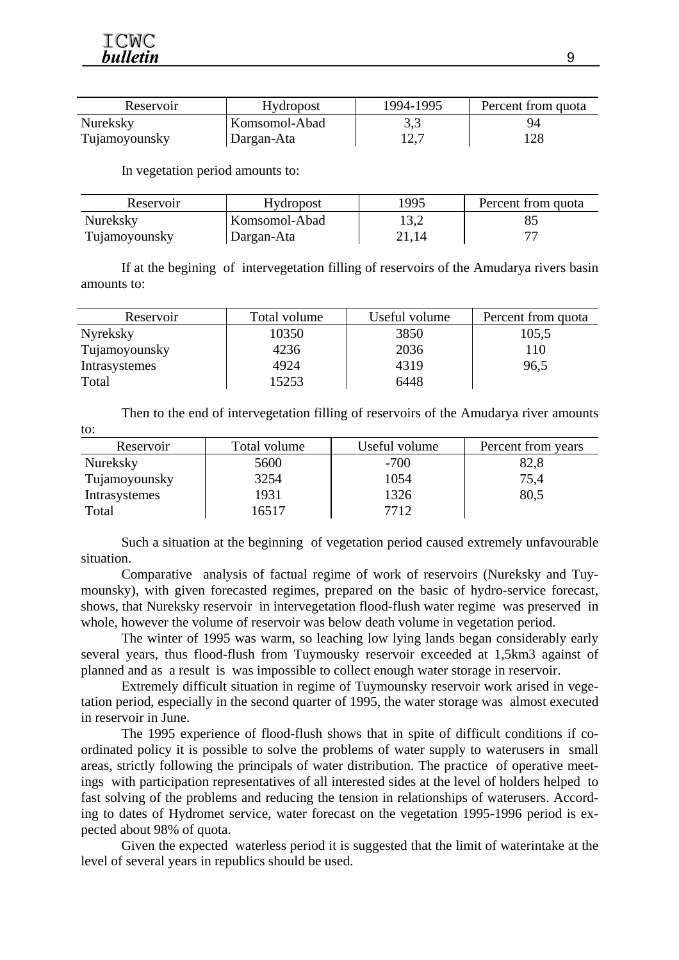to:

| Reservoir     | <b>Hydropost</b> | 1994-1995 | Percent from quota |
|---------------|------------------|-----------|--------------------|
| Nureksky      | Komsomol-Abad    | 3,3       | 94                 |
| Tujamoyounsky | Dargan-Ata       | 12,7      | 28                 |

In vegetation period amounts to:

| Reservoir     | <b>Hydropost</b> | 1995  | Percent from quota |
|---------------|------------------|-------|--------------------|
| Nureksky      | Komsomol-Abad    | 13,2  |                    |
| Tujamoyounsky | Dargan-Ata       | 21.14 |                    |

If at the begining of intervegetation filling of reservoirs of the Amudarya rivers basin amounts to:

| Reservoir     | Total volume | Useful volume | Percent from quota |
|---------------|--------------|---------------|--------------------|
| Nyreksky      | 10350        | 3850          | 105,5              |
| Tujamoyounsky | 4236         | 2036          | 110                |
| Intrasystemes | 4924         | 4319          | 96,5               |
| Total         | 15253        | 6448          |                    |

Then to the end of intervegetation filling of reservoirs of the Amudarya river amounts

| Reservoir     | Total volume | Useful volume | Percent from years |
|---------------|--------------|---------------|--------------------|
| Nureksky      | 5600         | $-700$        | 82,8               |
| Tujamoyounsky | 3254         | 1054          | 75,4               |
| Intrasystemes | 1931         | 1326          | 80,5               |
| Total         | 16517        | 7712          |                    |

Such a situation at the beginning of vegetation period caused extremely unfavourable situation.

Comparative analysis of factual regime of work of reservoirs (Nureksky and Tuymounsky), with given forecasted regimes, prepared on the basic of hydro-service forecast, shows, that Nureksky reservoir in intervegetation flood-flush water regime was preserved in whole, however the volume of reservoir was below death volume in vegetation period.

The winter of 1995 was warm, so leaching low lying lands began considerably early several years, thus flood-flush from Tuymousky reservoir exceeded at 1,5km3 against of planned and as a result is was impossible to collect enough water storage in reservoir.

Extremely difficult situation in regime of Tuymounsky reservoir work arised in vegetation period, especially in the second quarter of 1995, the water storage was almost executed in reservoir in June.

The 1995 experience of flood-flush shows that in spite of difficult conditions if coordinated policy it is possible to solve the problems of water supply to waterusers in small areas, strictly following the principals of water distribution. The practice of operative meetings with participation representatives of all interested sides at the level of holders helped to fast solving of the problems and reducing the tension in relationships of waterusers. According to dates of Hydromet service, water forecast on the vegetation 1995-1996 period is expected about 98% of quota.

Given the expected waterless period it is suggested that the limit of waterintake at the level of several years in republics should be used.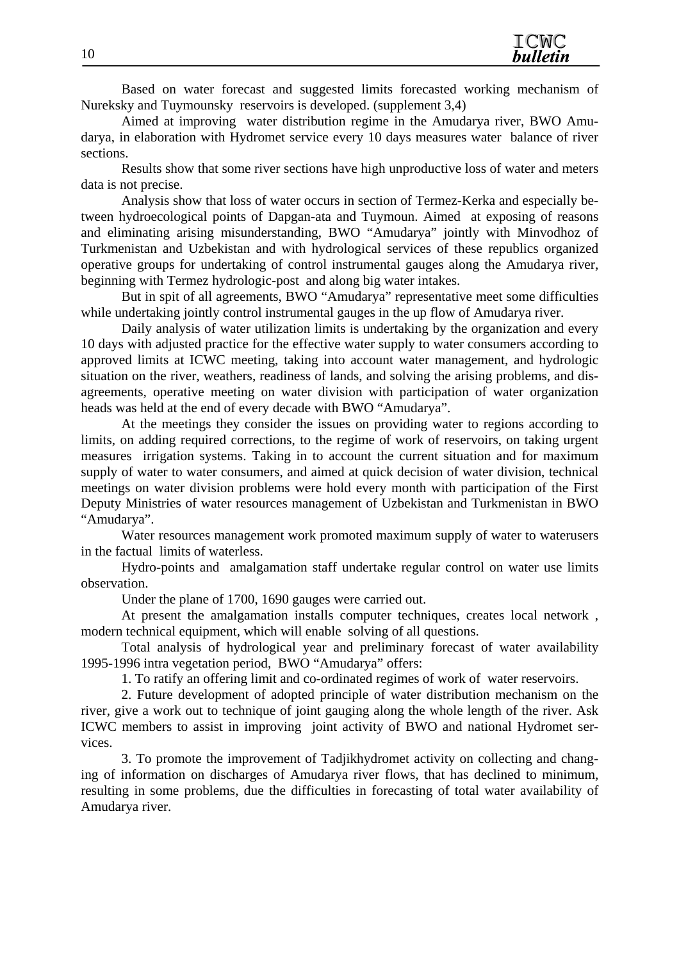Based on water forecast and suggested limits forecasted working mechanism of Nureksky and Tuymounsky reservoirs is developed. (supplement 3,4)

Aimed at improving water distribution regime in the Amudarya river, BWO Amudarya, in elaboration with Hydromet service every 10 days measures water balance of river sections.

Results show that some river sections have high unproductive loss of water and meters data is not precise.

Analysis show that loss of water occurs in section of Termez-Kerka and especially between hydroecological points of Dapgan-ata and Tuymoun. Aimed at exposing of reasons and eliminating arising misunderstanding, BWO "Amudarya" jointly with Minvodhoz of Turkmenistan and Uzbekistan and with hydrological services of these republics organized operative groups for undertaking of control instrumental gauges along the Amudarya river, beginning with Termez hydrologic-post and along big water intakes.

But in spit of all agreements, BWO "Amudarya" representative meet some difficulties while undertaking jointly control instrumental gauges in the up flow of Amudarya river.

Daily analysis of water utilization limits is undertaking by the organization and every 10 days with adjusted practice for the effective water supply to water consumers according to approved limits at ICWC meeting, taking into account water management, and hydrologic situation on the river, weathers, readiness of lands, and solving the arising problems, and disagreements, operative meeting on water division with participation of water organization heads was held at the end of every decade with BWO "Amudarya".

At the meetings they consider the issues on providing water to regions according to limits, on adding required corrections, to the regime of work of reservoirs, on taking urgent measures irrigation systems. Taking in to account the current situation and for maximum supply of water to water consumers, and aimed at quick decision of water division, technical meetings on water division problems were hold every month with participation of the First Deputy Ministries of water resources management of Uzbekistan and Turkmenistan in BWO "Amudarya".

Water resources management work promoted maximum supply of water to waterusers in the factual limits of waterless.

Hydro-points and amalgamation staff undertake regular control on water use limits observation.

Under the plane of 1700, 1690 gauges were carried out.

At present the amalgamation installs computer techniques, creates local network , modern technical equipment, which will enable solving of all questions.

Total analysis of hydrological year and preliminary forecast of water availability 1995-1996 intra vegetation period, BWO "Amudarya" offers:

1. To ratify an offering limit and co-ordinated regimes of work of water reservoirs.

2. Future development of adopted principle of water distribution mechanism on the river, give a work out to technique of joint gauging along the whole length of the river. Ask ICWC members to assist in improving joint activity of BWO and national Hydromet services.

3. To promote the improvement of Tadjikhydromet activity on collecting and changing of information on discharges of Amudarya river flows, that has declined to minimum, resulting in some problems, due the difficulties in forecasting of total water availability of Amudarya river.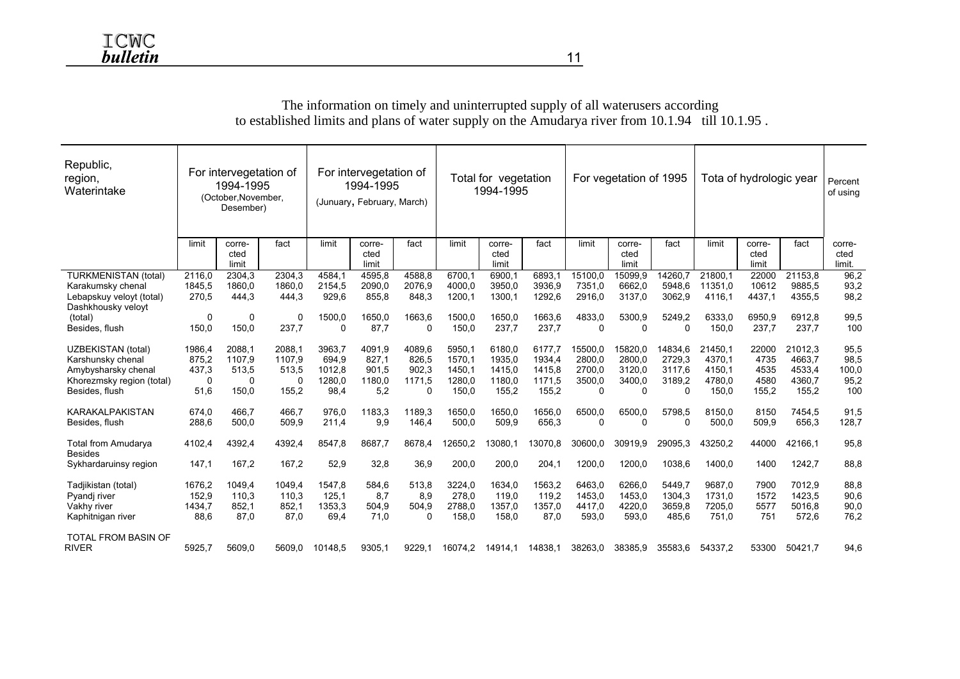#### Republic, region, Waterintake For intervegetation of 1994-1995 (October,November, Desember) For intervegetation of 1994-1995 (Junuary, February, March) Total for vegetation 1994-1995 For vegetation of 1995 Tota of hydrologic year  $|_{\text{Percent}}$ of using limit corrected limit fact limit corrected limit fact limit corrected limit fact limit corrected limit fact limit corrected limit fact corrected limit. TURKMENISTAN (total) 2116,0 2304,3 2304,3 4584,1 4595,8 4588,8 6700,1 6900,1 6893,1 15100,0 15099,9 14260,7 21800,1 22000 21153,8 96,2 Karakumsky chenal 1845,5 1860,0 1860,0 2154,5 2090,0 2076,9 4000,0 3950,0 3936,9 7351,0 6662,0 5948,6 11351,0 10612 9885,5 93,2 Lebapskuy veloyt (total) 270,5 444,3 444,3 929,6 855,8 848,3 1200,1 1300,1 1292,6 2916,0 3137,0 3062,9 4116,1 4437,1 4355,5 98,2 Dashkhousky veloyt<br>(total) (total) 0 0 0 1500,0 1650,0 1663,6 1500,0 1650,0 1663,6 4833,0 5300,9 5249,2 6333,0 6950,9 6912,8 99,5 Besides, flush 150,0 150,0 237,7 0 87,7 0 150,0 237,7 237,7 0 0 0 150,0 237,7 237,7 100 UZBEKISTAN (total) 1986,4 2088,1 2088,1 3963,7 4091,9 4089,6 5950,1 6180,0 6177,7 15500,0 15820,0 14834,6 21450,1 22000 21012,3 95,5 Karshunsky chenal 875,2 1107,9 1107,9 694,9 827,1 826,5 1570,1 1935,0 1934,4 2800,0 2800,0 2729,3 4370,1 4735 4663,7 98,5 Amybysharsky chenal 437,3 513,5 513,5 1012,8 901,5 902,3 1450,1 1415,0 1415,8 2700,0 3120,0 3117,6 4150,1 4535 4533,4 100,0 Khorezmsky region (total) 0 0 0 1280,0 1180,0 1171,5 1280,0 1180,0 1171,5 3500,0 3400,0 3189,2 4780,0 4580 4360,7 95,2 Besides, flush 51,6 150,0 155,2 98,4 5,2 0 150,0 155,2 155,2 0 0 0 150,0 155,2 155,2 100 KARAKALPAKISTAN 674,0 466,7 466,7 976,0 1183,3 1189,3 1650,0 1650,0 1656,0 6500,0 6500,0 5798,5 8150,0 8150 7454,5 91,5 Besides, flush 288,6 500,0 509,9 211,4 9,9 146,4 500,0 509,9 656,3 0 0 0 500,0 509,9 656,3 128,7 Total from Amudarya 4102,4 4392,4 4392,4 8547,8 8687,7 8678,4 12650,2 13080,1 13070,8 30600,0 30919,9 29095,3 43250,2 44000 42166,1 95,8 Besides Sykhardaruinsy region 147,1 167,2 167,2 52,9 32,8 36,9 200,0 200,0 204,1 1200,0 1200,0 1038,6 1400,0 1400 1242,7 88,8 Tadjikistan (total) 1676,2 1049,4 1049,4 1547,8 584,6 513,8 3224,0 1634,0 1563,2 6463,0 6266,0 5449,7 9687,0 7900 7012,9 88,8 Pyandj river 152,9 110,3 110,3 125,1 8,7 8,9 278,0 119,0 119,2 1453,0 1453,0 1304,3 1731,0 1572 1423,5 90,6 Vakhy river 1434,7 852,1 852,1 1353,3 504,9 504,9 2788,0 1357,0 1357,0 4417,0 4220,0 3659,8 7205,0 5577 5016,8 90,0 Kaphitnigan river 88,6 87,0 87,0 69,4 71,0 0 158,0 158,0 87,0 593,0 593,0 485,6 751,0 751 572,6 76,2 TOTAL FROM BASIN OF RIVER 5925,7 5609,0 5609,0 10148,5 9305,1 9229,1 16074,2 14914,1 14838,1 38263,0 38385,9 35583,6 54337,2 53300 50421,7 94,6

#### The information on timely and uninterrupted supply of all waterusers according to established limits and plans of water supply on the Amudarya river from 10.1.94 till 10.1.95 .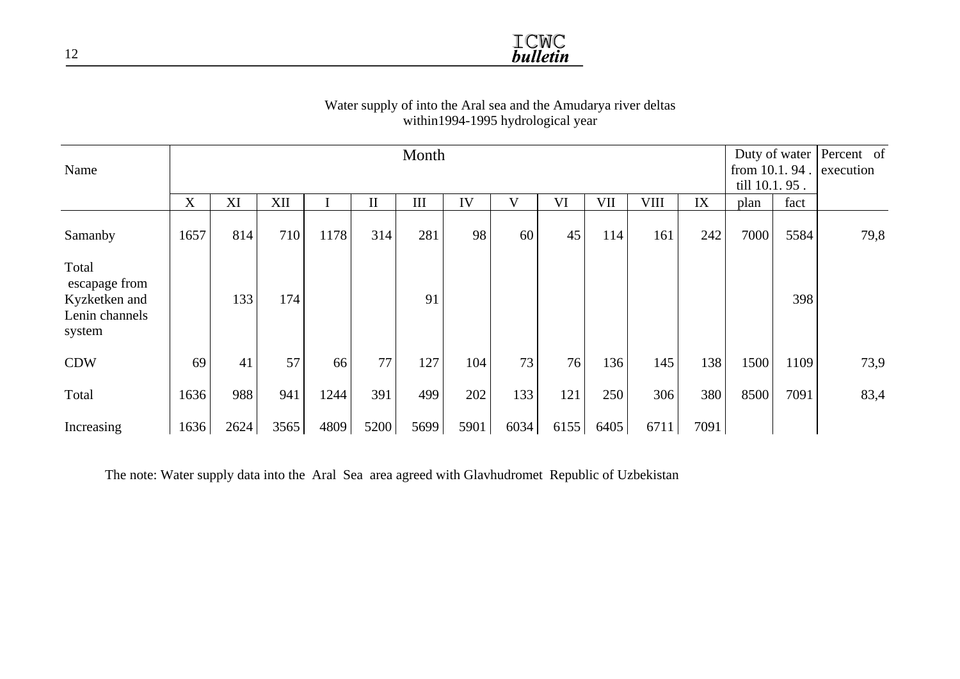

#### Water supply of into the Aral sea and the Amudarya river deltas within1994-1995 hydrological year

| Name                                                                | Month |      |      |      |             |      |      |      |      | Duty of water<br>from 10.1.94.<br>till 10.1.95. |      | Percent of<br>execution |      |      |      |
|---------------------------------------------------------------------|-------|------|------|------|-------------|------|------|------|------|-------------------------------------------------|------|-------------------------|------|------|------|
|                                                                     | X     | XI   | XII  |      | $\rm _{II}$ | III  | IV   |      | VI   | VII                                             | VIII | IX                      | plan | fact |      |
| Samanby                                                             | 1657  | 814  | 710  | 1178 | 314         | 281  | 98   | 60   | 45   | 114                                             | 161  | 242                     | 7000 | 5584 | 79,8 |
| Total<br>escapage from<br>Kyzketken and<br>Lenin channels<br>system |       | 133  | 174  |      |             | 91   |      |      |      |                                                 |      |                         |      | 398  |      |
| <b>CDW</b>                                                          | 69    | 41   | 57   | 66   | 77          | 127  | 104  | 73   | 76   | 136                                             | 145  | 138                     | 1500 | 1109 | 73,9 |
| Total                                                               | 1636  | 988  | 941  | 1244 | 391         | 499  | 202  | 133  | 121  | 250                                             | 306  | 380                     | 8500 | 7091 | 83,4 |
| Increasing                                                          | 1636  | 2624 | 3565 | 4809 | 5200        | 5699 | 5901 | 6034 | 6155 | 6405                                            | 6711 | 7091                    |      |      |      |

The note: Water supply data into the Aral Sea area agreed with Glavhudromet Republic of Uzbekistan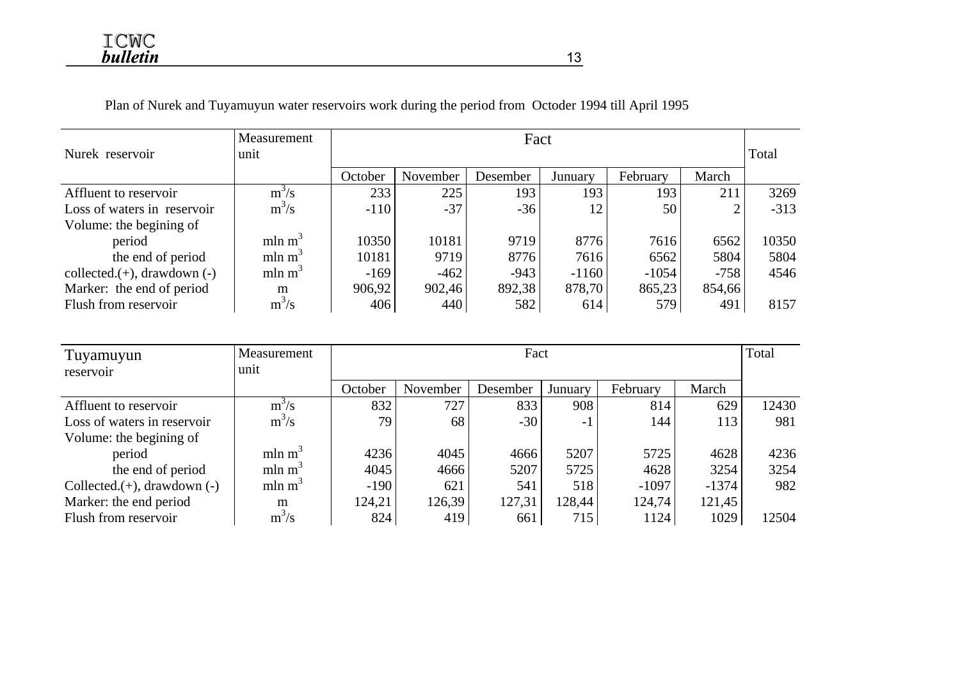Plan of Nurek and Tuyamuyun water reservoirs work during the period from Octoder 1994 till April 1995

|                                   | Measurement<br>Fact |         |          |          |         |          |        | Total  |  |
|-----------------------------------|---------------------|---------|----------|----------|---------|----------|--------|--------|--|
| Nurek reservoir                   | unit                |         |          |          |         |          |        |        |  |
|                                   |                     | October | November | Desember | Junuary | February | March  |        |  |
| Affluent to reservoir             | $m^3/s$             | 233     | 225      | 193      | 193     | 193      | 211    | 3269   |  |
| Loss of waters in reservoir       | $m^3/s$             | $-110$  | $-37$    | $-36$    | 12      | 50       | 2      | $-313$ |  |
| Volume: the begining of           |                     |         |          |          |         |          |        |        |  |
| period                            | mln m <sup>3</sup>  | 10350   | 10181    | 9719     | 8776    | 7616     | 6562   | 10350  |  |
| the end of period                 | mln m <sup>3</sup>  | 10181   | 9719     | 8776     | 7616    | 6562     | 5804   | 5804   |  |
| collected. $(+)$ , drawdown $(-)$ | mln m <sup>3</sup>  | $-169$  | $-462$   | $-943$   | $-1160$ | $-1054$  | $-758$ | 4546   |  |
| Marker: the end of period         | m                   | 906,92  | 902,46   | 892,38   | 878,70  | 865,23   | 854,66 |        |  |
| Flush from reservoir              | $m^3/s$             | 406     | 440      | 582      | 614     | 579      | 491    | 8157   |  |

| Tuyamuyun                         | Measurement        |         | Total<br>Fact |          |         |          |         |       |  |  |
|-----------------------------------|--------------------|---------|---------------|----------|---------|----------|---------|-------|--|--|
| reservoir                         | unit               |         |               |          |         |          |         |       |  |  |
|                                   |                    | October | November      | Desember | Junuary | February | March   |       |  |  |
| Affluent to reservoir             | $m^3/s$            | 832     | 727           | 833      | 908     | 814      | 629     | 12430 |  |  |
| Loss of waters in reservoir       | $m^3/s$            | 79      | 68            | $-30$    | - 1     | 144      | 113     | 981   |  |  |
| Volume: the begining of           |                    |         |               |          |         |          |         |       |  |  |
| period                            | mln m <sup>3</sup> | 4236    | 4045          | 4666     | 5207    | 5725     | 4628    | 4236  |  |  |
| the end of period                 | mln m <sup>3</sup> | 4045    | 4666          | 5207     | 5725    | 4628     | 3254    | 3254  |  |  |
| Collected. $(+)$ , drawdown $(-)$ | mln m <sup>3</sup> | $-190$  | 621           | 541      | 518     | $-1097$  | $-1374$ | 982   |  |  |
| Marker: the end period            | m                  | 124,21  | 126,39        | 127,31   | 128,44  | 124,74   | 121,45  |       |  |  |
| Flush from reservoir              | $m^3/s$            | 824     | 419           | 661      | 715     | 1124     | 1029    | 12504 |  |  |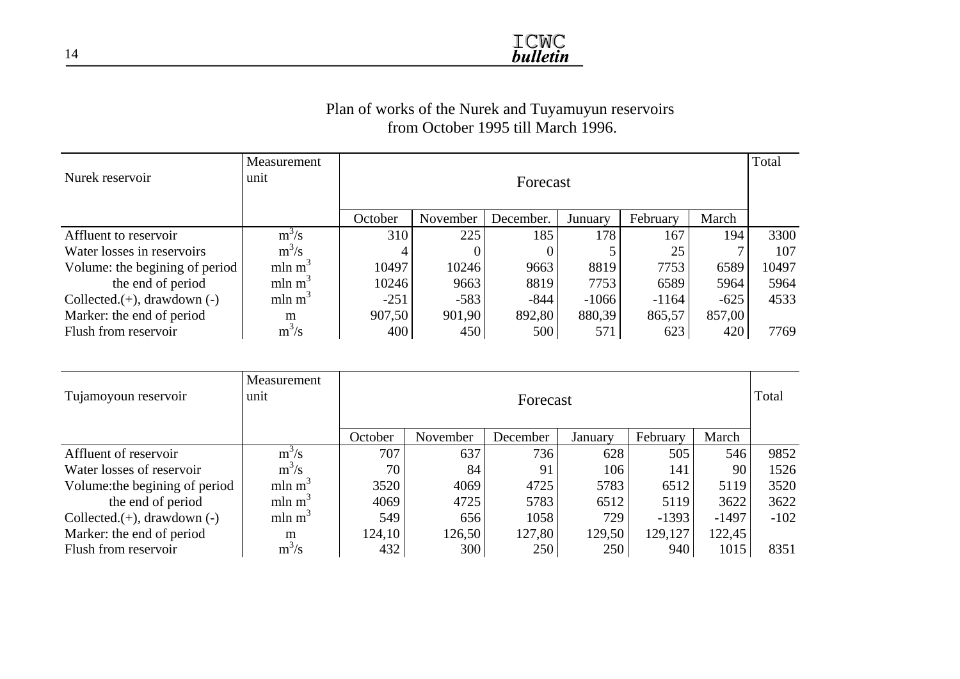

#### Plan of works of the Nurek and Tuyamuyun reservoirs from October 1995 till March 1996.

| Nurek reservoir                   | Measurement<br>unit | Total   |          |           |         |          |        |       |  |
|-----------------------------------|---------------------|---------|----------|-----------|---------|----------|--------|-------|--|
|                                   |                     |         | Forecast |           |         |          |        |       |  |
|                                   |                     | October | November | December. | Junuary | February | March  |       |  |
| Affluent to reservoir             | $m^3/s$             | 310     | 225      | 185       | 178     | 167      | 194    | 3300  |  |
| Water losses in reservoirs        | $m^3/s$             | 4       |          |           |         | 25       |        | 107   |  |
| Volume: the begining of period    | mln m <sup>3</sup>  | 10497   | 10246    | 9663      | 8819    | 7753     | 6589   | 10497 |  |
| the end of period                 | mln m <sup>3</sup>  | 10246   | 9663     | 8819      | 7753    | 6589     | 5964   | 5964  |  |
| Collected. $(+)$ , drawdown $(-)$ | mln m <sup>3</sup>  | $-251$  | $-583$   | $-844$    | $-1066$ | $-1164$  | $-625$ | 4533  |  |
| Marker: the end of period         | m                   | 907,50  | 901,90   | 892,80    | 880,39  | 865,57   | 857,00 |       |  |
| Flush from reservoir              | $m^3/s$             | 400     | 450      | 500       | 571     | 623      | 420    | 7769  |  |

| Tujamoyoun reservoir              | Measurement<br>unit |         | Total<br>Forecast |          |         |          |         |        |  |  |
|-----------------------------------|---------------------|---------|-------------------|----------|---------|----------|---------|--------|--|--|
|                                   |                     | October | November          | December | January | February | March   |        |  |  |
| Affluent of reservoir             | $m^3/s$             | 707     | 637               | 736      | 628     | 505      | 546     | 9852   |  |  |
| Water losses of reservoir         | $m^3/s$             | 70      | 84                | 91       | 106     | 141      | 90      | 1526   |  |  |
| Volume: the begining of period    | mln m <sup>3</sup>  | 3520    | 4069              | 4725     | 5783    | 6512     | 5119    | 3520   |  |  |
| the end of period                 | mln m <sup>3</sup>  | 4069    | 4725              | 5783     | 6512    | 5119     | 3622    | 3622   |  |  |
| Collected. $(+)$ , drawdown $(-)$ | mln m <sup>3</sup>  | 549     | 656               | 1058     | 729     | $-1393$  | $-1497$ | $-102$ |  |  |
| Marker: the end of period         | m                   | 124,10  | 126,50            | 127,80   | 129,50  | 129,127  | 122,45  |        |  |  |
| Flush from reservoir              | $m^3/s$             | 432     | 300               | 250      | 250     | 940      | 1015    | 8351   |  |  |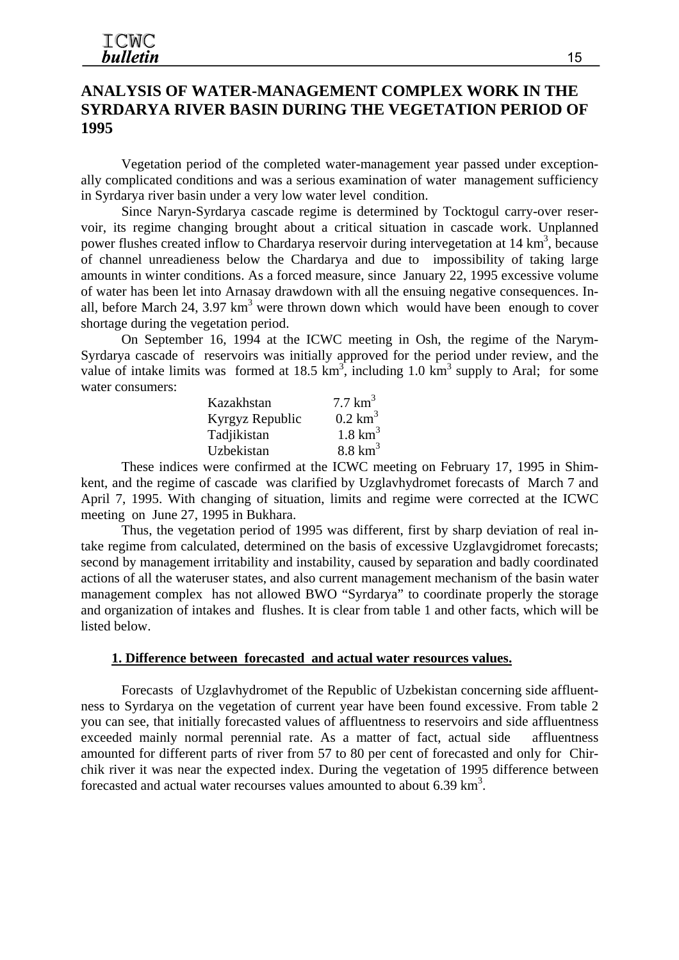## **ANALYSIS OF WATER-MANAGEMENT COMPLEX WORK IN THE SYRDARYA RIVER BASIN DURING THE VEGETATION PERIOD OF 1995**

Vegetation period of the completed water-management year passed under exceptionally complicated conditions and was a serious examination of water management sufficiency in Syrdarya river basin under a very low water level condition.

Since Naryn-Syrdarya cascade regime is determined by Tocktogul carry-over reservoir, its regime changing brought about a critical situation in cascade work. Unplanned power flushes created inflow to Chardarya reservoir during intervegetation at 14 km<sup>3</sup>, because of channel unreadieness below the Chardarya and due to impossibility of taking large amounts in winter conditions. As a forced measure, since January 22, 1995 excessive volume of water has been let into Arnasay drawdown with all the ensuing negative consequences. Inall, before March 24, 3.97  $km<sup>3</sup>$  were thrown down which would have been enough to cover shortage during the vegetation period.

On September 16, 1994 at the ICWC meeting in Osh, the regime of the Narym-Syrdarya cascade of reservoirs was initially approved for the period under review, and the value of intake limits was formed at 18.5  $km^3$ , including 1.0  $km^3$  supply to Aral; for some water consumers:

| Kazakhstan      | $7.7 \text{ km}^3$    |
|-----------------|-----------------------|
| Kyrgyz Republic | $0.2$ km <sup>3</sup> |
| Tadjikistan     | $1.8 \text{ km}^3$    |
| Uzbekistan      | $8.8 \text{ km}^3$    |

These indices were confirmed at the ICWC meeting on February 17, 1995 in Shimkent, and the regime of cascade was clarified by Uzglavhydromet forecasts of March 7 and April 7, 1995. With changing of situation, limits and regime were corrected at the ICWC meeting on June 27, 1995 in Bukhara.

Thus, the vegetation period of 1995 was different, first by sharp deviation of real intake regime from calculated, determined on the basis of excessive Uzglavgidromet forecasts; second by management irritability and instability, caused by separation and badly coordinated actions of all the wateruser states, and also current management mechanism of the basin water management complex has not allowed BWO "Syrdarya" to coordinate properly the storage and organization of intakes and flushes. It is clear from table 1 and other facts, which will be listed below.

#### **1. Difference between forecasted and actual water resources values.**

Forecasts of Uzglavhydromet of the Republic of Uzbekistan concerning side affluentness to Syrdarya on the vegetation of current year have been found excessive. From table 2 you can see, that initially forecasted values of affluentness to reservoirs and side affluentness exceeded mainly normal perennial rate. As a matter of fact, actual side affluentness amounted for different parts of river from 57 to 80 per cent of forecasted and only for Chirchik river it was near the expected index. During the vegetation of 1995 difference between forecasted and actual water recourses values amounted to about 6.39 km<sup>3</sup>.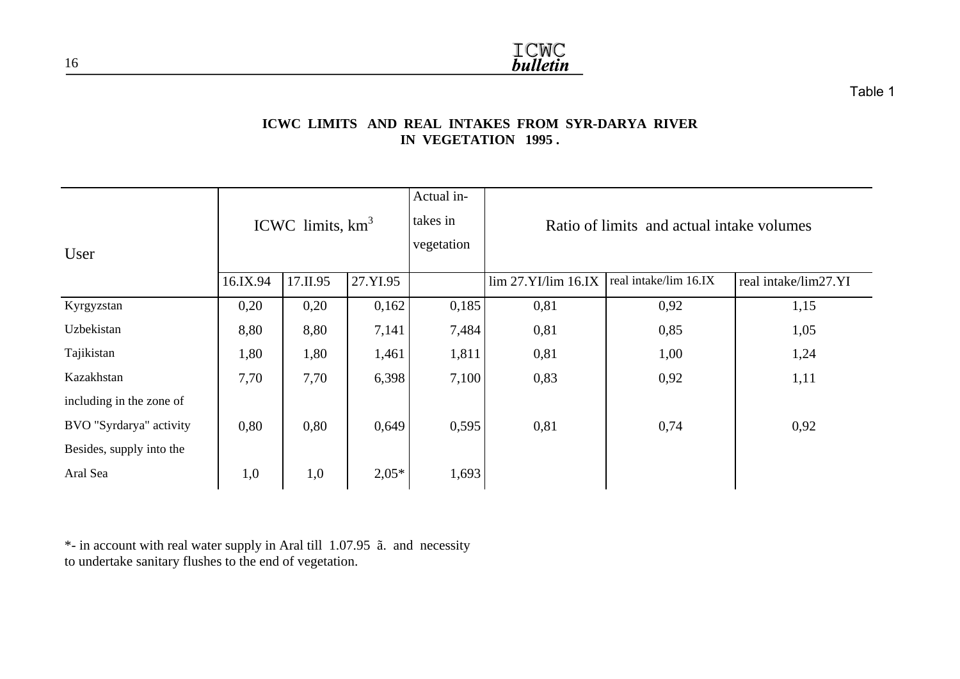

Table 1

#### **ICWC LIMITS AND REAL INTAKES FROM SYR-DARYA RIVER IN VEGETATION 1995 .**

| User                     |          | ICWC limits, $km3$ |          | Actual in-<br>takes in<br>vegetation |                         | Ratio of limits and actual intake volumes |                      |
|--------------------------|----------|--------------------|----------|--------------------------------------|-------------------------|-------------------------------------------|----------------------|
|                          | 16.IX.94 | 17.II.95           | 27.YI.95 |                                      | $\lim 27.YI/\lim 16.IX$ | real intake/lim 16.IX                     | real intake/lim27.YI |
| Kyrgyzstan               | 0,20     | 0,20               | 0,162    | 0,185                                | 0,81                    | 0,92                                      | 1,15                 |
| Uzbekistan               | 8,80     | 8,80               | 7,141    | 7,484                                | 0,81                    | 0,85                                      | 1,05                 |
| Tajikistan               | 1,80     | 1,80               | 1,461    | 1,811                                | 0,81                    | 1,00                                      | 1,24                 |
| Kazakhstan               | 7,70     | 7,70               | 6,398    | 7,100                                | 0,83                    | 0,92                                      | 1,11                 |
| including in the zone of |          |                    |          |                                      |                         |                                           |                      |
| BVO "Syrdarya" activity  | 0,80     | 0,80               | 0,649    | 0,595                                | 0,81                    | 0,74                                      | 0,92                 |
| Besides, supply into the |          |                    |          |                                      |                         |                                           |                      |
| Aral Sea                 | 1,0      | 1,0                | $2,05*$  | 1,693                                |                         |                                           |                      |

\*- in account with real water supply in Aral till 1.07.95 ã. and necessity to undertake sanitary flushes to the end of vegetation.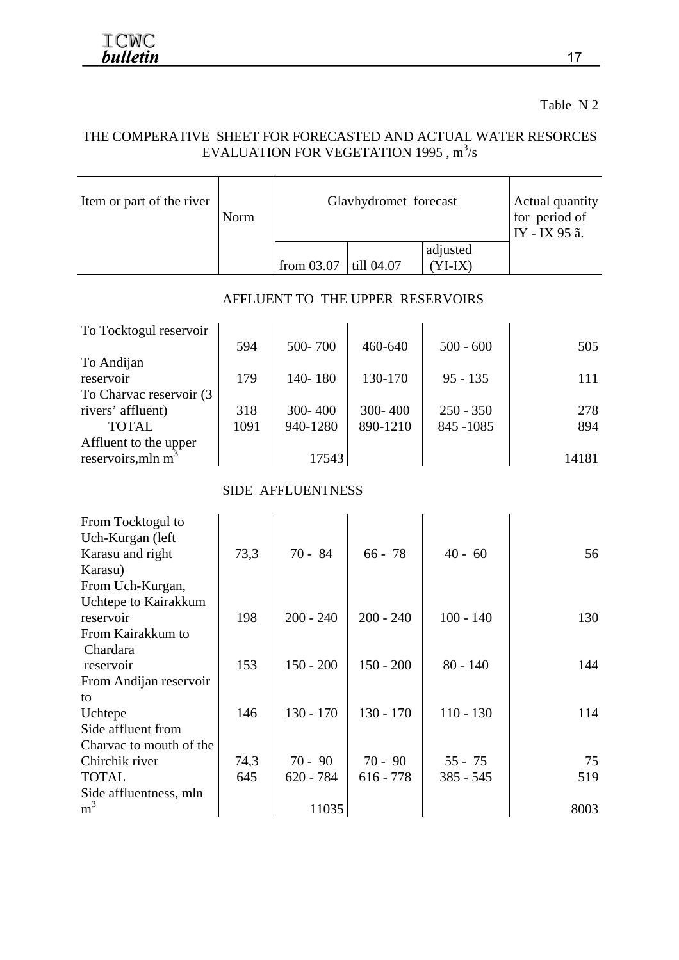Table N 2

#### THE COMPERATIVE SHEET FOR FORECASTED AND ACTUAL WATER RESORCES EVALUATION FOR VEGETATION 1995,  $m^3/s$

| Item or part of the river                               | Norm | Glavhydromet forecast    | Actual quantity<br>for period of<br>IY - IX 95 ã. |                       |       |
|---------------------------------------------------------|------|--------------------------|---------------------------------------------------|-----------------------|-------|
|                                                         |      | from 03.07               | till 04.07                                        | adjusted<br>$(YI-IX)$ |       |
|                                                         |      |                          | AFFLUENT TO THE UPPER RESERVOIRS                  |                       |       |
| To Tocktogul reservoir                                  |      |                          |                                                   |                       |       |
|                                                         | 594  | 500-700                  | 460-640                                           | $500 - 600$           | 505   |
| To Andijan                                              |      |                          |                                                   |                       |       |
| reservoir                                               | 179  | 140-180                  | 130-170                                           | $95 - 135$            | 111   |
| To Charvac reservoir (3                                 |      |                          |                                                   |                       |       |
| rivers' affluent)<br><b>TOTAL</b>                       | 318  | 300-400                  | 300-400                                           | $250 - 350$           | 278   |
|                                                         | 1091 | 940-1280                 | 890-1210                                          | 845 - 1085            | 894   |
| Affluent to the upper<br>reservoirs, mln m <sup>3</sup> |      | 17543                    |                                                   |                       | 14181 |
|                                                         |      |                          |                                                   |                       |       |
|                                                         |      | <b>SIDE AFFLUENTNESS</b> |                                                   |                       |       |
| From Tocktogul to                                       |      |                          |                                                   |                       |       |
| Uch-Kurgan (left                                        |      |                          |                                                   |                       |       |
| Karasu and right                                        | 73,3 | $70 - 84$                | $66 - 78$                                         | $40 - 60$             | 56    |
| Karasu)                                                 |      |                          |                                                   |                       |       |
| From Uch-Kurgan,                                        |      |                          |                                                   |                       |       |
| Uchtepe to Kairakkum                                    |      |                          |                                                   |                       |       |
| reservoir                                               | 198  | $200 - 240$              | $200 - 240$                                       | $100 - 140$           | 130   |
| From Kairakkum to                                       |      |                          |                                                   |                       |       |
| Chardara                                                |      |                          |                                                   |                       |       |
| reservoir                                               | 153  | $150 - 200$              | $150 - 200$                                       | $80 - 140$            | 144   |
| From Andijan reservoir                                  |      |                          |                                                   |                       |       |
| to                                                      |      |                          |                                                   |                       |       |
| Uchtepe                                                 | 146  | $130 - 170$              | $130 - 170$                                       | $110 - 130$           | 114   |
| Side affluent from                                      |      |                          |                                                   |                       |       |
| Charvac to mouth of the                                 |      |                          |                                                   |                       |       |
| Chirchik river                                          | 74,3 | $70 - 90$                | $70 - 90$                                         | $55 - 75$             | 75    |
| <b>TOTAL</b>                                            | 645  | $620 - 784$              | $616 - 778$                                       | 385 - 545             | 519   |
| Side affluentness, mln                                  |      |                          |                                                   |                       |       |
| m <sup>3</sup>                                          |      | 11035                    |                                                   |                       | 8003  |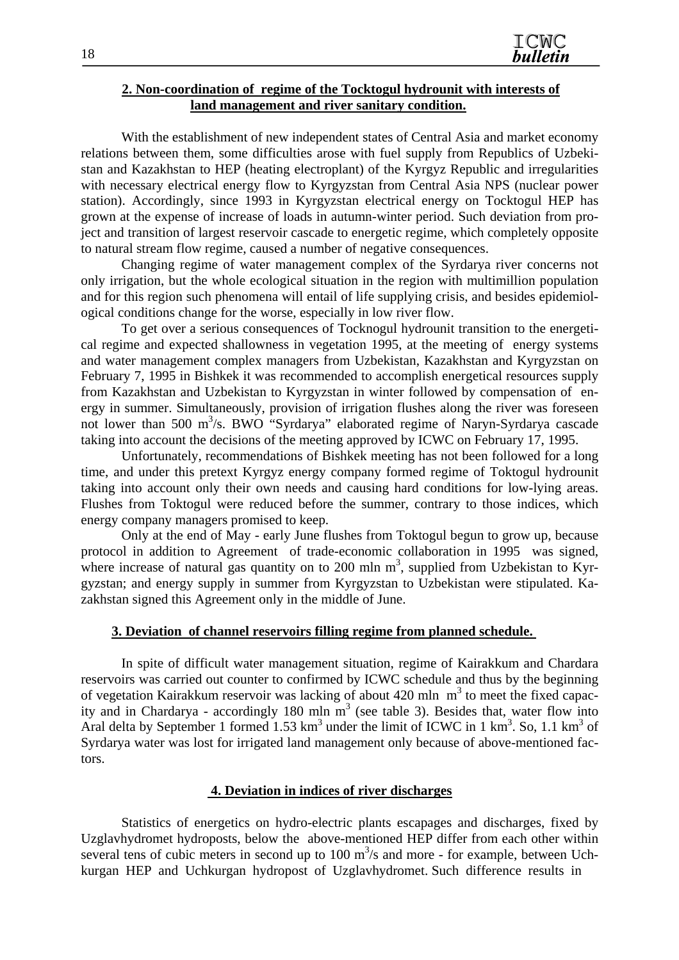#### **2. Non-coordination of regime of the Tocktogul hydrounit with interests of land management and river sanitary condition.**

With the establishment of new independent states of Central Asia and market economy relations between them, some difficulties arose with fuel supply from Republics of Uzbekistan and Kazakhstan to HEP (heating electroplant) of the Kyrgyz Republic and irregularities with necessary electrical energy flow to Kyrgyzstan from Central Asia NPS (nuclear power station). Accordingly, since 1993 in Kyrgyzstan electrical energy on Tocktogul HEP has grown at the expense of increase of loads in autumn-winter period. Such deviation from project and transition of largest reservoir cascade to energetic regime, which completely opposite to natural stream flow regime, caused a number of negative consequences.

Changing regime of water management complex of the Syrdarya river concerns not only irrigation, but the whole ecological situation in the region with multimillion population and for this region such phenomena will entail of life supplying crisis, and besides epidemiological conditions change for the worse, especially in low river flow.

To get over a serious consequences of Tocknogul hydrounit transition to the energetical regime and expected shallowness in vegetation 1995, at the meeting of energy systems and water management complex managers from Uzbekistan, Kazakhstan and Kyrgyzstan on February 7, 1995 in Bishkek it was recommended to accomplish energetical resources supply from Kazakhstan and Uzbekistan to Kyrgyzstan in winter followed by compensation of energy in summer. Simultaneously, provision of irrigation flushes along the river was foreseen not lower than 500 m<sup>3</sup>/s. BWO "Syrdarya" elaborated regime of Naryn-Syrdarya cascade taking into account the decisions of the meeting approved by ICWC on February 17, 1995.

Unfortunately, recommendations of Bishkek meeting has not been followed for a long time, and under this pretext Kyrgyz energy company formed regime of Toktogul hydrounit taking into account only their own needs and causing hard conditions for low-lying areas. Flushes from Toktogul were reduced before the summer, contrary to those indices, which energy company managers promised to keep.

Only at the end of May - early June flushes from Toktogul begun to grow up, because protocol in addition to Agreement of trade-economic collaboration in 1995 was signed, where increase of natural gas quantity on to 200 mln  $m<sup>3</sup>$ , supplied from Uzbekistan to Kyrgyzstan; and energy supply in summer from Kyrgyzstan to Uzbekistan were stipulated. Kazakhstan signed this Agreement only in the middle of June.

#### **3. Deviation of channel reservoirs filling regime from planned schedule.**

In spite of difficult water management situation, regime of Kairakkum and Chardara reservoirs was carried out counter to confirmed by ICWC schedule and thus by the beginning of vegetation Kairakkum reservoir was lacking of about 420 mln  $m<sup>3</sup>$  to meet the fixed capacity and in Chardarya - accordingly 180 mln  $m<sup>3</sup>$  (see table 3). Besides that, water flow into Aral delta by September 1 formed  $1.53 \text{ km}^3$  under the limit of ICWC in 1 km<sup>3</sup>. So, 1.1 km<sup>3</sup> of Syrdarya water was lost for irrigated land management only because of above-mentioned factors.

#### **4. Deviation in indices of river discharges**

Statistics of energetics on hydro-electric plants escapages and discharges, fixed by Uzglavhydromet hydroposts, below the above-mentioned HEP differ from each other within several tens of cubic meters in second up to  $100 \text{ m}^3$ /s and more - for example, between Uchkurgan HEP and Uchkurgan hydropost of Uzglavhydromet. Such difference results in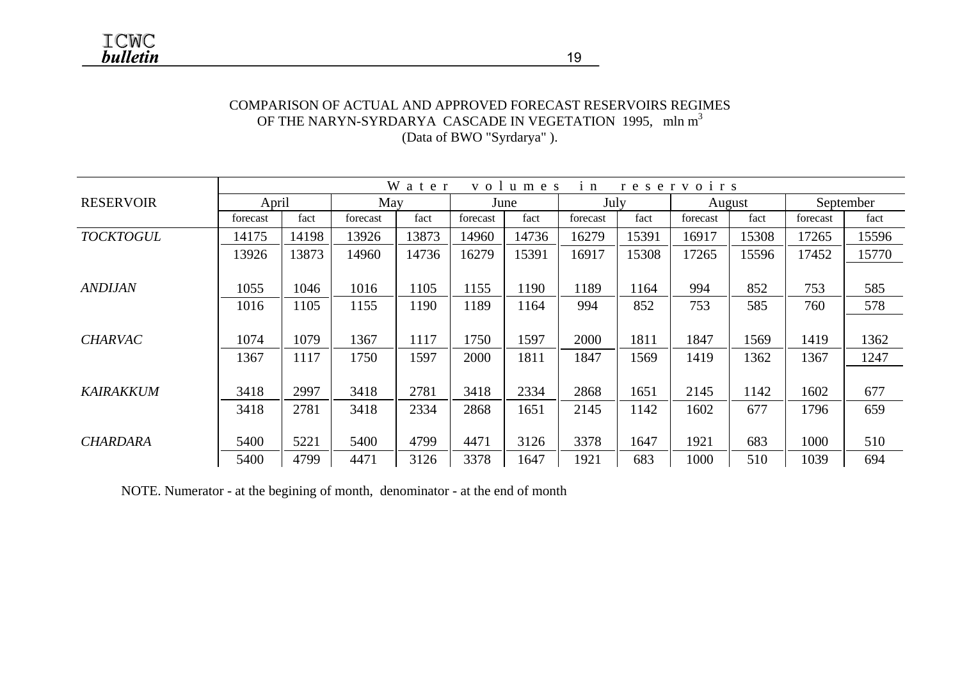#### COMPARISON OF ACTUAL AND APPROVED FORECAST RESERVOIRS REGIMES OF THE NARYN-SYRDARYA CASCADE IN VEGETATION 1995, mln m<sup>3</sup> (Data of BWO "Syrdarya" ).

|                  |          |       |          | W a t e r |          | volumes | $i$ n    |       | reservoirs |        |          |           |
|------------------|----------|-------|----------|-----------|----------|---------|----------|-------|------------|--------|----------|-----------|
| <b>RESERVOIR</b> | April    |       | May      |           |          | June    | July     |       |            | August |          | September |
|                  | forecast | fact  | forecast | fact      | forecast | fact    | forecast | fact  | forecast   | fact   | forecast | fact      |
| <b>TOCKTOGUL</b> | 14175    | 14198 | 13926    | 13873     | 14960    | 14736   | 16279    | 15391 | 16917      | 15308  | 17265    | 15596     |
|                  | 13926    | 13873 | 14960    | 14736     | 16279    | 15391   | 16917    | 15308 | 17265      | 15596  | 17452    | 15770     |
|                  |          |       |          |           |          |         |          |       |            |        |          |           |
| <b>ANDIJAN</b>   | 1055     | 1046  | 1016     | 1105      | 1155     | 1190    | 1189     | 1164  | 994        | 852    | 753      | 585       |
|                  | 1016     | 1105  | 1155     | 1190      | 1189     | 1164    | 994      | 852   | 753        | 585    | 760      | 578       |
|                  |          |       |          |           |          |         |          |       |            |        |          |           |
| <b>CHARVAC</b>   | 1074     | 1079  | 1367     | 1117      | 1750     | 1597    | 2000     | 1811  | 1847       | 1569   | 1419     | 1362      |
|                  | 1367     | 1117  | 1750     | 1597      | 2000     | 1811    | 1847     | 1569  | 1419       | 1362   | 1367     | 1247      |
|                  |          |       |          |           |          |         |          |       |            |        |          |           |
| KAIRAKKUM        | 3418     | 2997  | 3418     | 2781      | 3418     | 2334    | 2868     | 1651  | 2145       | 1142   | 1602     | 677       |
|                  | 3418     | 2781  | 3418     | 2334      | 2868     | 1651    | 2145     | 1142  | 1602       | 677    | 1796     | 659       |
|                  |          |       |          |           |          |         |          |       |            |        |          |           |
| <b>CHARDARA</b>  | 5400     | 5221  | 5400     | 4799      | 4471     | 3126    | 3378     | 1647  | 1921       | 683    | 1000     | 510       |
|                  | 5400     | 4799  | 4471     | 3126      | 3378     | 1647    | 1921     | 683   | 1000       | 510    | 1039     | 694       |

NOTE. Numerator - at the begining of month, denominator - at the end of month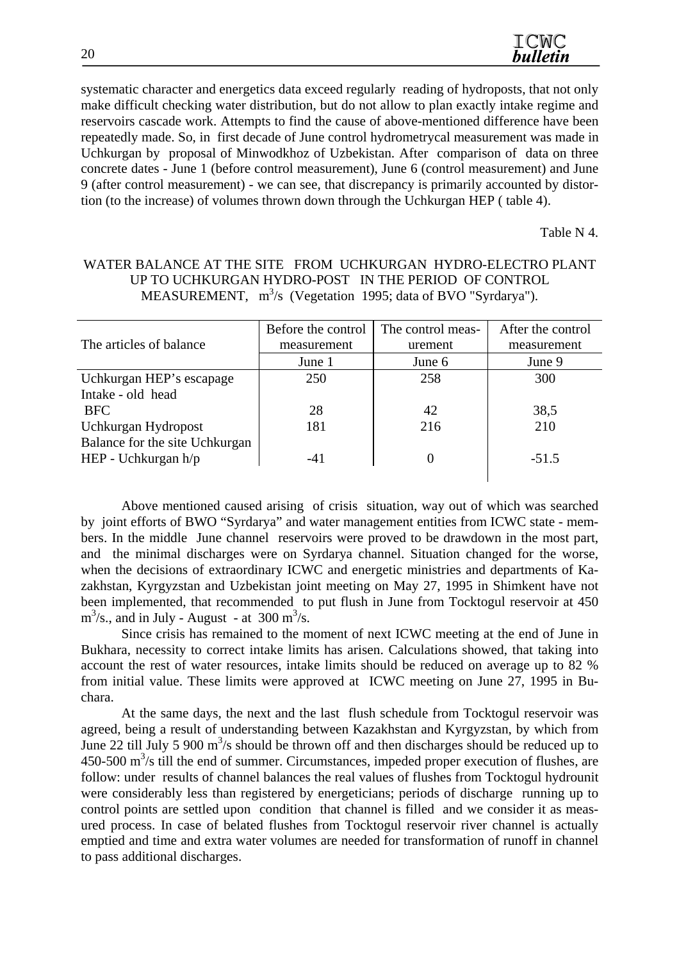| ICMC            |
|-----------------|
| <b>bulletin</b> |

systematic character and energetics data exceed regularly reading of hydroposts, that not only make difficult checking water distribution, but do not allow to plan exactly intake regime and reservoirs cascade work. Attempts to find the cause of above-mentioned difference have been repeatedly made. So, in first decade of June control hydrometrycal measurement was made in Uchkurgan by proposal of Minwodkhoz of Uzbekistan. After comparison of data on three concrete dates - June 1 (before control measurement), June 6 (control measurement) and June 9 (after control measurement) - we can see, that discrepancy is primarily accounted by distortion (to the increase) of volumes thrown down through the Uchkurgan HEP ( table 4).

Table N 4.

#### WATER BALANCE AT THE SITE FROM UCHKURGAN HYDRO-ELECTRO PLANT UP TO UCHKURGAN HYDRO-POST IN THE PERIOD OF CONTROL MEASUREMENT,  $m^3/s$  (Vegetation 1995; data of BVO "Syrdarya").

|                                | Before the control | The control meas- | After the control |
|--------------------------------|--------------------|-------------------|-------------------|
| The articles of balance        | measurement        | urement           | measurement       |
|                                | June 1             | June 6            | June 9            |
| Uchkurgan HEP's escapage       | 250                | 258               | 300               |
| Intake - old head              |                    |                   |                   |
| <b>BFC</b>                     | 28                 | 42                | 38,5              |
| Uchkurgan Hydropost            | 181                | 216               | 210               |
| Balance for the site Uchkurgan |                    |                   |                   |
| HEP - Uchkurgan $h/p$          | $-41$              | 0                 | $-51.5$           |
|                                |                    |                   |                   |

Above mentioned caused arising of crisis situation, way out of which was searched by joint efforts of BWO "Syrdarya" and water management entities from ICWC state - members. In the middle June channel reservoirs were proved to be drawdown in the most part, and the minimal discharges were on Syrdarya channel. Situation changed for the worse, when the decisions of extraordinary ICWC and energetic ministries and departments of Kazakhstan, Kyrgyzstan and Uzbekistan joint meeting on May 27, 1995 in Shimkent have not been implemented, that recommended to put flush in June from Tocktogul reservoir at 450  $\text{m}^3/\text{s}$ ., and in July - August - at 300 m<sup>3</sup>/s.

Since crisis has remained to the moment of next ICWC meeting at the end of June in Bukhara, necessity to correct intake limits has arisen. Calculations showed, that taking into account the rest of water resources, intake limits should be reduced on average up to 82 % from initial value. These limits were approved at ICWC meeting on June 27, 1995 in Buchara.

At the same days, the next and the last flush schedule from Tocktogul reservoir was agreed, being a result of understanding between Kazakhstan and Kyrgyzstan, by which from June 22 till July 5 900  $\text{m}^3$ /s should be thrown off and then discharges should be reduced up to  $450-500$  m<sup>3</sup>/s till the end of summer. Circumstances, impeded proper execution of flushes, are follow: under results of channel balances the real values of flushes from Tocktogul hydrounit were considerably less than registered by energeticians; periods of discharge running up to control points are settled upon condition that channel is filled and we consider it as measured process. In case of belated flushes from Tocktogul reservoir river channel is actually emptied and time and extra water volumes are needed for transformation of runoff in channel to pass additional discharges.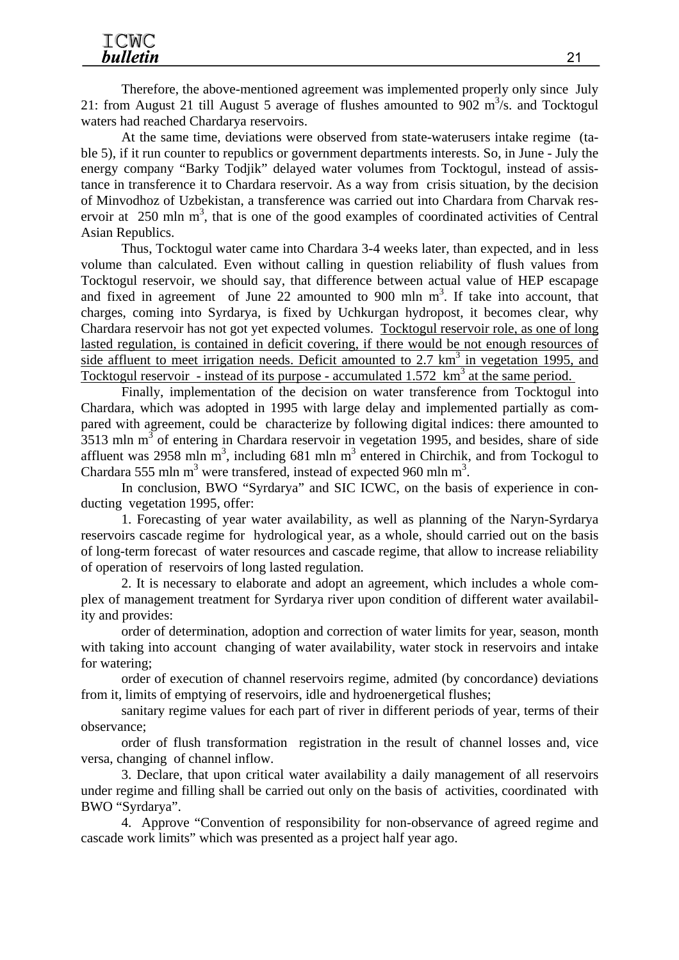Therefore, the above-mentioned agreement was implemented properly only since July 21: from August 21 till August 5 average of flushes amounted to  $902 \text{ m}^3/\text{s}$ . and Tocktogul waters had reached Chardarya reservoirs.

At the same time, deviations were observed from state-waterusers intake regime (table 5), if it run counter to republics or government departments interests. So, in June - July the energy company "Barky Todjik" delayed water volumes from Tocktogul, instead of assistance in transference it to Chardara reservoir. As a way from crisis situation, by the decision of Minvodhoz of Uzbekistan, a transference was carried out into Chardara from Charvak reservoir at 250 mln  $m<sup>3</sup>$ , that is one of the good examples of coordinated activities of Central Asian Republics.

Thus, Tocktogul water came into Chardara 3-4 weeks later, than expected, and in less volume than calculated. Even without calling in question reliability of flush values from Tocktogul reservoir, we should say, that difference between actual value of HEP escapage and fixed in agreement of June 22 amounted to 900 mln m<sup>3</sup>. If take into account, that charges, coming into Syrdarya, is fixed by Uchkurgan hydropost, it becomes clear, why Chardara reservoir has not got yet expected volumes. Tocktogul reservoir role, as one of long lasted regulation, is contained in deficit covering, if there would be not enough resources of side affluent to meet irrigation needs. Deficit amounted to  $2.7 \text{ km}^3$  in vegetation 1995, and Tocktogul reservoir - instead of its purpose - accumulated  $1.572 \text{ km}^3$  at the same period.

Finally, implementation of the decision on water transference from Tocktogul into Chardara, which was adopted in 1995 with large delay and implemented partially as compared with agreement, could be characterize by following digital indices: there amounted to  $3513$  mln m<sup>3</sup> of entering in Chardara reservoir in vegetation 1995, and besides, share of side affluent was 2958 mln  $\text{m}^3$ , including 681 mln  $\text{m}^3$  entered in Chirchik, and from Tockogul to Chardara 555 mln m<sup>3</sup> were transfered, instead of expected 960 mln m<sup>3</sup>.

In conclusion, BWO "Syrdarya" and SIC ICWC, on the basis of experience in conducting vegetation 1995, offer:

1. Forecasting of year water availability, as well as planning of the Naryn-Syrdarya reservoirs cascade regime for hydrological year, as a whole, should carried out on the basis of long-term forecast of water resources and cascade regime, that allow to increase reliability of operation of reservoirs of long lasted regulation.

2. It is necessary to elaborate and adopt an agreement, which includes a whole complex of management treatment for Syrdarya river upon condition of different water availability and provides:

order of determination, adoption and correction of water limits for year, season, month with taking into account changing of water availability, water stock in reservoirs and intake for watering;

order of execution of channel reservoirs regime, admited (by concordance) deviations from it, limits of emptying of reservoirs, idle and hydroenergetical flushes;

sanitary regime values for each part of river in different periods of year, terms of their observance;

order of flush transformation registration in the result of channel losses and, vice versa, changing of channel inflow.

3. Declare, that upon critical water availability a daily management of all reservoirs under regime and filling shall be carried out only on the basis of activities, coordinated with BWO "Syrdarya".

4. Approve "Convention of responsibility for non-observance of agreed regime and cascade work limits" which was presented as a project half year ago.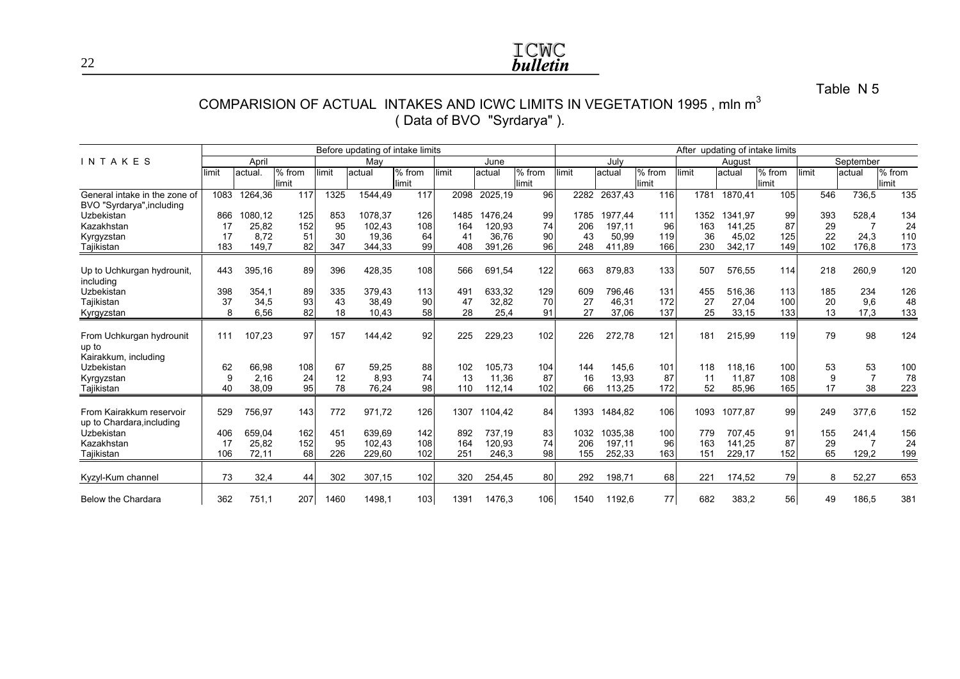# **ICWC**<br>**bulletin**

Table N 5

#### COMPARISION OF ACTUAL <code>INTAKES</code> AND ICWC LIMITS IN VEGETATION 1995 , mln  $\mathsf{m}^3$ ( Data of BVO "Syrdarya" ).

|                                                            |                | Before updating of intake limits |                 |                 |                          |                 |                 |                         |                 | After updating of intake limits |                          |                   |                 |                          |                   |                 |                    |                   |
|------------------------------------------------------------|----------------|----------------------------------|-----------------|-----------------|--------------------------|-----------------|-----------------|-------------------------|-----------------|---------------------------------|--------------------------|-------------------|-----------------|--------------------------|-------------------|-----------------|--------------------|-------------------|
| INTAKES                                                    |                | April                            |                 |                 | May                      |                 |                 | June                    |                 |                                 | July                     |                   |                 | August                   |                   |                 | September          |                   |
|                                                            | limit          | actual.                          | % from<br>limit | imit            | actual                   | % from<br>limit | limit           | actual                  | % from<br>limit | limit                           | actual                   | % from<br>limit   | imit            | actual                   | $%$ from<br>limit | limit           | lactual            | $%$ from<br>limit |
| General intake in the zone of<br>BVO "Syrdarya", including | 1083           | 1264,36                          | 117             | 1325            | 1544,49                  | 117             | 2098            | 2025,19                 | 96              | 2282                            | 2637,43                  | 116               | 1781            | 1870,41                  | 105               | 546             | 736,5              | 135               |
| Uzbekistan<br>Kazakhstan                                   | 866<br>17      | 1080,12<br>25,82                 | 125<br>152      | 853<br>95       | 1078,37<br>102,43        | 126<br>108      | 1485<br>164     | 1476.24<br>120,93       | 99<br>74        | 1785<br>206                     | 1977.44<br>197,11        | 111<br>96         | 1352<br>163     | 1341.97<br>141,25        | 99<br>87          | 393<br>29       | 528,4              | 134<br>24         |
| Kyrgyzstan<br>Tajikistan                                   | 17<br>183      | 8,72<br>149,7                    | 51<br>82        | 30<br>347       | 19,36<br>344,33          | 64<br>99        | 41<br>408       | 36,76<br>391,26         | 90<br>96        | 43<br>248                       | 50,99<br>411,89          | 119<br>166        | 36<br>230       | 45,02<br>342,17          | 125<br>149        | 22<br>102       | 24,3<br>176,8      | 110<br>173        |
| Up to Uchkurgan hydrounit,<br>including                    | 443            | 395.16                           | 89              | 396             | 428,35                   | 108             | 566             | 691,54                  | 122             | 663                             | 879,83                   | 133               | 507             | 576,55                   | 114               | 218             | 260,9              | 120               |
| Uzbekistan<br>Tajikistan                                   | 398<br>37<br>8 | 354.1<br>34,5<br>6.56            | 89<br>93<br>82  | 335<br>43<br>18 | 379,43<br>38,49<br>10.43 | 113<br>90<br>58 | 491<br>47<br>28 | 633.32<br>32,82<br>25,4 | 129<br>70<br>91 | 609<br>27<br>27                 | 796.46<br>46,31<br>37,06 | 131<br>172<br>137 | 455<br>27<br>25 | 516,36<br>27,04<br>33,15 | 113<br>100<br>133 | 185<br>20<br>13 | 234<br>9,6<br>17,3 | 126<br>48<br>133  |
| Kyrgyzstan                                                 |                |                                  |                 |                 |                          |                 |                 |                         |                 |                                 |                          |                   |                 |                          |                   |                 |                    |                   |
| From Uchkurgan hydrounit<br>up to<br>Kairakkum, including  | 111            | 107,23                           | 97              | 157             | 144,42                   | 92              | 225             | 229,23                  | 102             | 226                             | 272,78                   | 121               | 181             | 215,99                   | 119               | 79              | 98                 | 124               |
| Uzbekistan<br>Kyrgyzstan                                   | 62<br>9        | 66,98<br>2,16                    | 108<br>24       | 67<br>12        | 59,25<br>8,93            | 88<br>74        | 102<br>13       | 105,73<br>11,36         | 104<br>87       | 144<br>16                       | 145,6<br>13,93           | 101<br>87         | 118<br>11       | 118,16<br>11,87          | 100<br>108        | 53<br>9         | 53<br>7            | 100<br>78         |
| Tajikistan                                                 | 40             | 38,09                            | 95              | 78              | 76,24                    | 98              | 110             | 112,14                  | 102             | 66                              | 113,25                   | 172               | 52              | 85,96                    | 165               | 17              | 38                 | 223               |
| From Kairakkum reservoir<br>up to Chardara, including      | 529            | 756,97                           | 143             | 772             | 971,72                   | 126             | 1307            | 1104.42                 | 84              | 1393                            | 1484,82                  | 106               | 1093            | 1077.87                  | 99                | 249             | 377,6              | 152               |
| Uzbekistan<br>Kazakhstan                                   | 406<br>17      | 659,04<br>25,82                  | 162<br>152      | 451<br>95       | 639.69<br>102,43         | 142<br>108      | 892<br>164      | 737.19<br>120,93        | 83<br>74        | 1032<br>206                     | 1035,38<br>197,11        | 100<br>96         | 779<br>163      | 707.45<br>141.25         | 91<br>87          | 155<br>29       | 241,4              | 156<br>24         |
| Tajikistan                                                 | 106            | 72,11                            | 68              | 226             | 229,60                   | 102             | 251             | 246,3                   | 98              | 155                             | 252,33                   | 163               | 151             | 229,17                   | 152               | 65              | 129,2              | 199               |
| Kyzyl-Kum channel                                          | 73             | 32,4                             | 44              | 302             | 307,15                   | 102             | 320             | 254,45                  | 80              | 292                             | 198,71                   | 68                | 221             | 174,52                   | 79                | 8               | 52,27              | 653               |
| Below the Chardara                                         | 362            | 751,1                            | 207             | 1460            | 1498,1                   | 103             | 1391            | 1476,3                  | 106             | 1540                            | 1192,6                   | 77                | 682             | 383,2                    | 56                | 49              | 186,5              | 381               |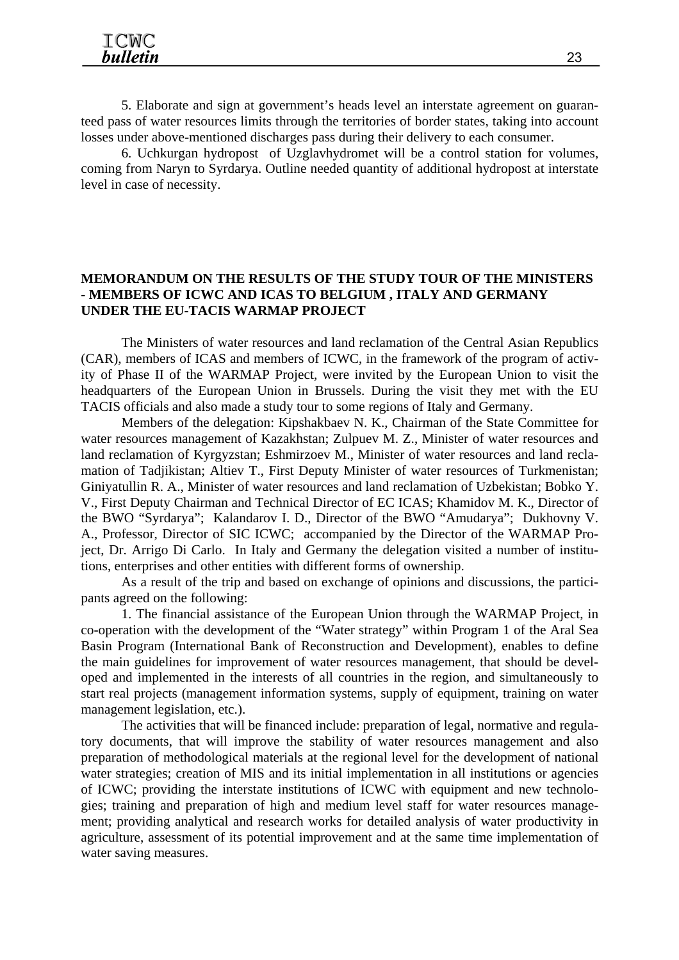5. Elaborate and sign at government's heads level an interstate agreement on guaranteed pass of water resources limits through the territories of border states, taking into account losses under above-mentioned discharges pass during their delivery to each consumer.

6. Uchkurgan hydropost of Uzglavhydromet will be a control station for volumes, coming from Naryn to Syrdarya. Outline needed quantity of additional hydropost at interstate level in case of necessity.

#### **MEMORANDUM ON THE RESULTS OF THE STUDY TOUR OF THE MINISTERS - MEMBERS OF ICWC AND ICAS TO BELGIUM , ITALY AND GERMANY UNDER THE EU-TACIS WARMAP PROJECT**

The Ministers of water resources and land reclamation of the Central Asian Republics (CAR), members of ICAS and members of ICWC, in the framework of the program of activity of Phase II of the WARMAP Project, were invited by the European Union to visit the headquarters of the European Union in Brussels. During the visit they met with the EU TACIS officials and also made a study tour to some regions of Italy and Germany.

Members of the delegation: Kipshakbaev N. K., Chairman of the State Committee for water resources management of Kazakhstan; Zulpuev M. Z., Minister of water resources and land reclamation of Kyrgyzstan; Eshmirzoev M., Minister of water resources and land reclamation of Tadjikistan; Altiev T., First Deputy Minister of water resources of Turkmenistan; Giniyatullin R. A., Minister of water resources and land reclamation of Uzbekistan; Bobko Y. V., First Deputy Chairman and Technical Director of EC ICAS; Khamidov M. K., Director of the BWO "Syrdarya"; Kalandarov I. D., Director of the BWO "Amudarya"; Dukhovny V. A., Professor, Director of SIC ICWC; accompanied by the Director of the WARMAP Project, Dr. Arrigo Di Carlo. In Italy and Germany the delegation visited a number of institutions, enterprises and other entities with different forms of ownership.

As a result of the trip and based on exchange of opinions and discussions, the participants agreed on the following:

1. The financial assistance of the European Union through the WARMAP Project, in co-operation with the development of the "Water strategy" within Program 1 of the Aral Sea Basin Program (International Bank of Reconstruction and Development), enables to define the main guidelines for improvement of water resources management, that should be developed and implemented in the interests of all countries in the region, and simultaneously to start real projects (management information systems, supply of equipment, training on water management legislation, etc.).

The activities that will be financed include: preparation of legal, normative and regulatory documents, that will improve the stability of water resources management and also preparation of methodological materials at the regional level for the development of national water strategies; creation of MIS and its initial implementation in all institutions or agencies of ICWC; providing the interstate institutions of ICWC with equipment and new technologies; training and preparation of high and medium level staff for water resources management; providing analytical and research works for detailed analysis of water productivity in agriculture, assessment of its potential improvement and at the same time implementation of water saving measures.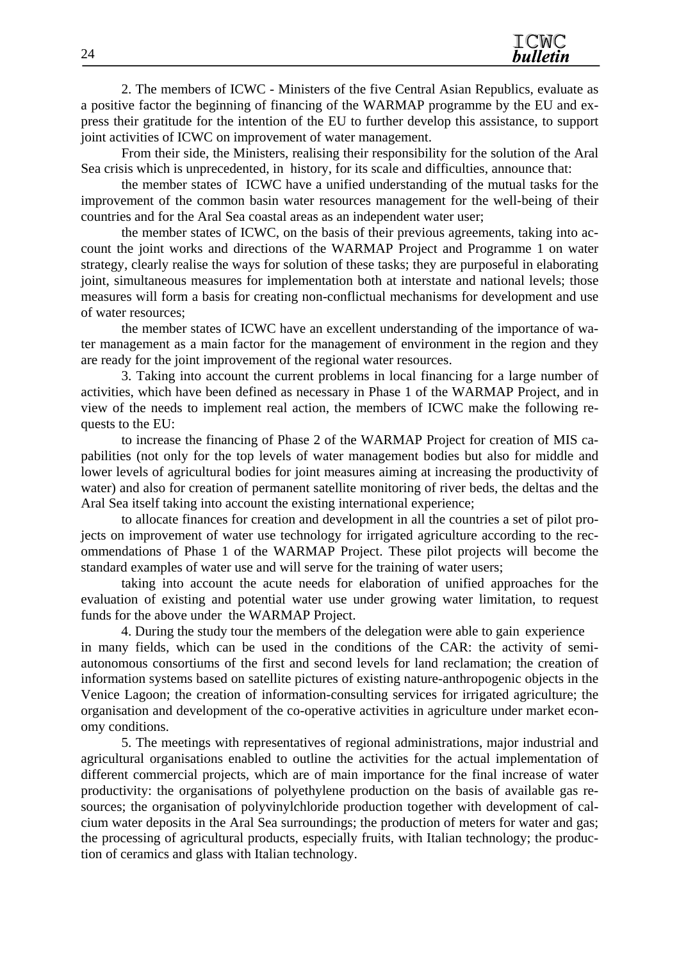2. The members of ICWC - Ministers of the five Central Asian Republics, evaluate as a positive factor the beginning of financing of the WARMAP programme by the EU and express their gratitude for the intention of the EU to further develop this assistance, to support joint activities of ICWC on improvement of water management.

From their side, the Ministers, realising their responsibility for the solution of the Aral Sea crisis which is unprecedented, in history, for its scale and difficulties, announce that:

the member states of ICWC have a unified understanding of the mutual tasks for the improvement of the common basin water resources management for the well-being of their countries and for the Aral Sea coastal areas as an independent water user;

the member states of ICWC, on the basis of their previous agreements, taking into account the joint works and directions of the WARMAP Project and Programme 1 on water strategy, clearly realise the ways for solution of these tasks; they are purposeful in elaborating joint, simultaneous measures for implementation both at interstate and national levels; those measures will form a basis for creating non-conflictual mechanisms for development and use of water resources;

the member states of ICWC have an excellent understanding of the importance of water management as a main factor for the management of environment in the region and they are ready for the joint improvement of the regional water resources.

3. Taking into account the current problems in local financing for a large number of activities, which have been defined as necessary in Phase 1 of the WARMAP Project, and in view of the needs to implement real action, the members of ICWC make the following requests to the EU:

to increase the financing of Phase 2 of the WARMAP Project for creation of MIS capabilities (not only for the top levels of water management bodies but also for middle and lower levels of agricultural bodies for joint measures aiming at increasing the productivity of water) and also for creation of permanent satellite monitoring of river beds, the deltas and the Aral Sea itself taking into account the existing international experience;

to allocate finances for creation and development in all the countries a set of pilot projects on improvement of water use technology for irrigated agriculture according to the recommendations of Phase 1 of the WARMAP Project. These pilot projects will become the standard examples of water use and will serve for the training of water users;

taking into account the acute needs for elaboration of unified approaches for the evaluation of existing and potential water use under growing water limitation, to request funds for the above under the WARMAP Project.

4. During the study tour the members of the delegation were able to gain experience in many fields, which can be used in the conditions of the CAR: the activity of semiautonomous consortiums of the first and second levels for land reclamation; the creation of information systems based on satellite pictures of existing nature-anthropogenic objects in the Venice Lagoon; the creation of information-consulting services for irrigated agriculture; the organisation and development of the co-operative activities in agriculture under market economy conditions.

5. The meetings with representatives of regional administrations, major industrial and agricultural organisations enabled to outline the activities for the actual implementation of different commercial projects, which are of main importance for the final increase of water productivity: the organisations of polyethylene production on the basis of available gas resources; the organisation of polyvinylchloride production together with development of calcium water deposits in the Aral Sea surroundings; the production of meters for water and gas; the processing of agricultural products, especially fruits, with Italian technology; the production of ceramics and glass with Italian technology.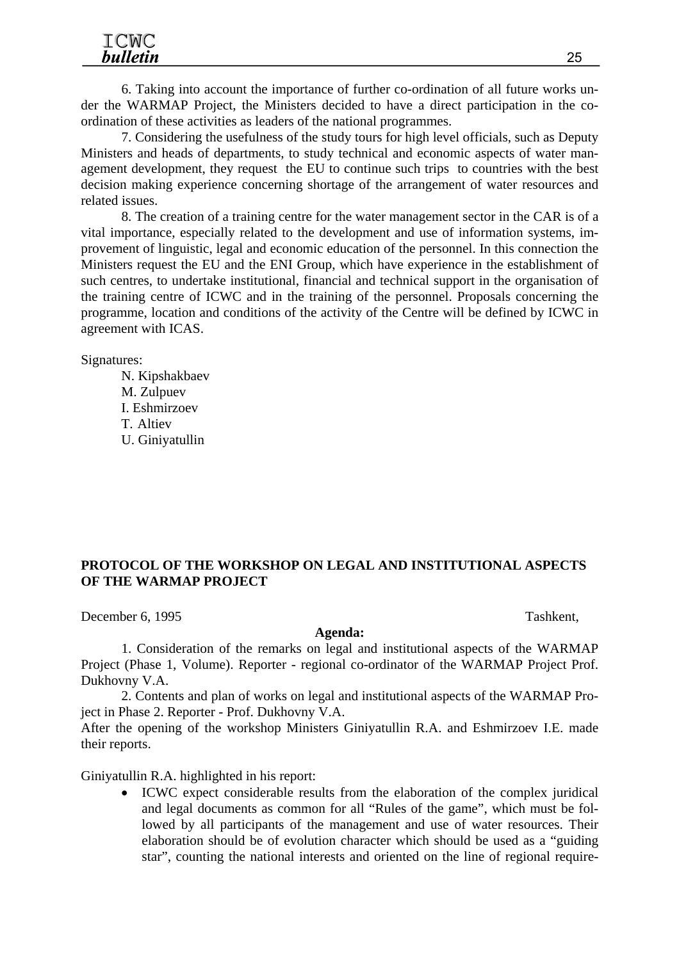6. Taking into account the importance of further co-ordination of all future works under the WARMAP Project, the Ministers decided to have a direct participation in the coordination of these activities as leaders of the national programmes.

7. Considering the usefulness of the study tours for high level officials, such as Deputy Ministers and heads of departments, to study technical and economic aspects of water management development, they request the EU to continue such trips to countries with the best decision making experience concerning shortage of the arrangement of water resources and related issues.

8. The creation of a training centre for the water management sector in the CAR is of a vital importance, especially related to the development and use of information systems, improvement of linguistic, legal and economic education of the personnel. In this connection the Ministers request the EU and the ENI Group, which have experience in the establishment of such centres, to undertake institutional, financial and technical support in the organisation of the training centre of ICWC and in the training of the personnel. Proposals concerning the programme, location and conditions of the activity of the Centre will be defined by ICWC in agreement with ICAS.

Signatures:

N. Kipshakbaev M. Zulpuev I. Eshmirzoev T. Altiev U. Giniyatullin

#### **PROTOCOL OF THE WORKSHOP ON LEGAL AND INSTITUTIONAL ASPECTS OF THE WARMAP PROJECT**

December 6, 1995 Tashkent,

#### **Agenda:**

1. Consideration of the remarks on legal and institutional aspects of the WARMAP Project (Phase 1, Volume). Reporter - regional co-ordinator of the WARMAP Project Prof. Dukhovny V.A.

2. Contents and plan of works on legal and institutional aspects of the WARMAP Project in Phase 2. Reporter - Prof. Dukhovny V.A.

After the opening of the workshop Ministers Giniyatullin R.A. and Eshmirzoev I.E. made their reports.

Giniyatullin R.A. highlighted in his report:

• ICWC expect considerable results from the elaboration of the complex juridical and legal documents as common for all "Rules of the game", which must be followed by all participants of the management and use of water resources. Their elaboration should be of evolution character which should be used as a "guiding star", counting the national interests and oriented on the line of regional require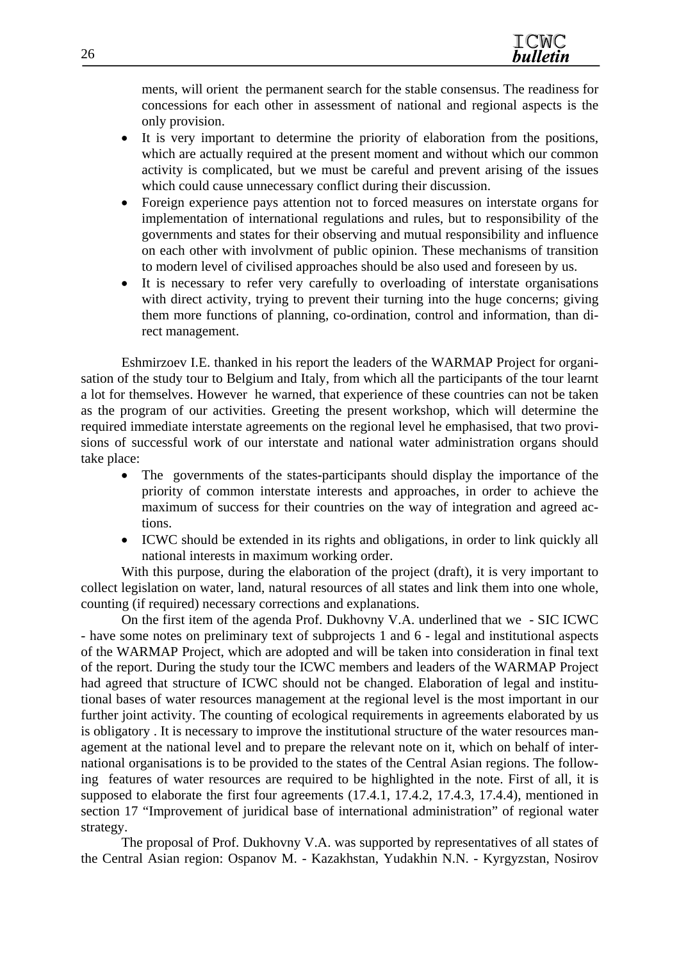ments, will orient the permanent search for the stable consensus. The readiness for concessions for each other in assessment of national and regional aspects is the only provision.

- It is very important to determine the priority of elaboration from the positions, which are actually required at the present moment and without which our common activity is complicated, but we must be careful and prevent arising of the issues which could cause unnecessary conflict during their discussion.
- Foreign experience pays attention not to forced measures on interstate organs for implementation of international regulations and rules, but to responsibility of the governments and states for their observing and mutual responsibility and influence on each other with involvment of public opinion. These mechanisms of transition to modern level of civilised approaches should be also used and foreseen by us.
- It is necessary to refer very carefully to overloading of interstate organisations with direct activity, trying to prevent their turning into the huge concerns; giving them more functions of planning, co-ordination, control and information, than direct management.

Eshmirzoev I.E. thanked in his report the leaders of the WARMAP Project for organisation of the study tour to Belgium and Italy, from which all the participants of the tour learnt a lot for themselves. However he warned, that experience of these countries can not be taken as the program of our activities. Greeting the present workshop, which will determine the required immediate interstate agreements on the regional level he emphasised, that two provisions of successful work of our interstate and national water administration organs should take place:

- The governments of the states-participants should display the importance of the priority of common interstate interests and approaches, in order to achieve the maximum of success for their countries on the way of integration and agreed actions.
- ICWC should be extended in its rights and obligations, in order to link quickly all national interests in maximum working order.

With this purpose, during the elaboration of the project (draft), it is very important to collect legislation on water, land, natural resources of all states and link them into one whole, counting (if required) necessary corrections and explanations.

On the first item of the agenda Prof. Dukhovny V.A. underlined that we - SIC ICWC - have some notes on preliminary text of subprojects 1 and 6 - legal and institutional aspects of the WARMAP Project, which are adopted and will be taken into consideration in final text of the report. During the study tour the ICWC members and leaders of the WARMAP Project had agreed that structure of ICWC should not be changed. Elaboration of legal and institutional bases of water resources management at the regional level is the most important in our further joint activity. The counting of ecological requirements in agreements elaborated by us is obligatory . It is necessary to improve the institutional structure of the water resources management at the national level and to prepare the relevant note on it, which on behalf of international organisations is to be provided to the states of the Central Asian regions. The following features of water resources are required to be highlighted in the note. First of all, it is supposed to elaborate the first four agreements (17.4.1, 17.4.2, 17.4.3, 17.4.4), mentioned in section 17 "Improvement of juridical base of international administration" of regional water strategy.

The proposal of Prof. Dukhovny V.A. was supported by representatives of all states of the Central Asian region: Ospanov M. - Kazakhstan, Yudakhin N.N. - Kyrgyzstan, Nosirov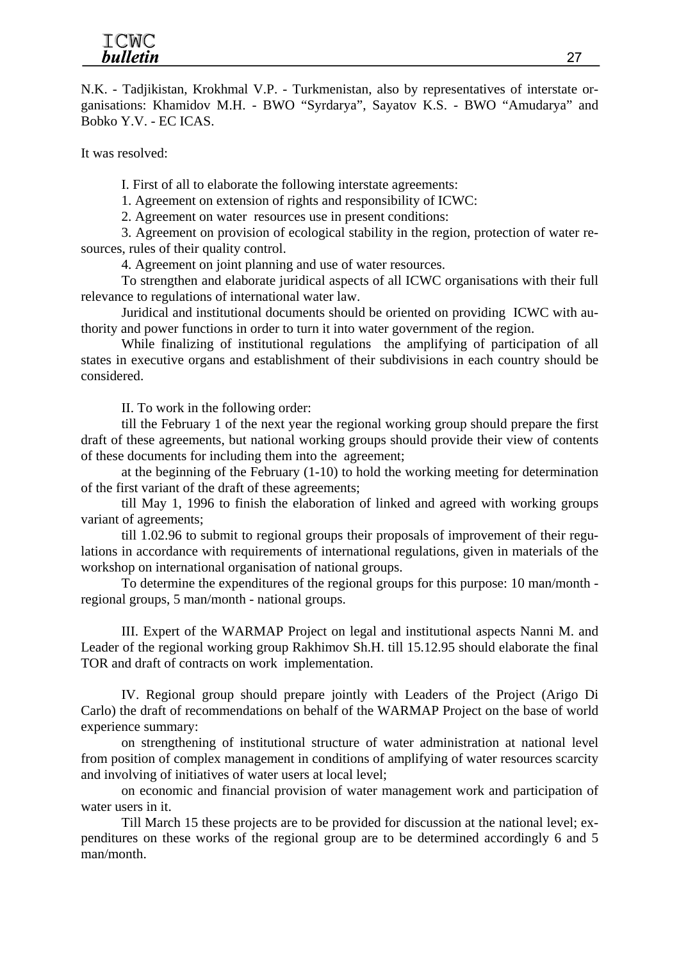N.K. - Tadjikistan, Krokhmal V.P. - Turkmenistan, also by representatives of interstate organisations: Khamidov M.H. - BWO "Syrdarya", Sayatov K.S. - BWO "Amudarya" and Bobko Y.V. - EC ICAS.

It was resolved:

I. First of all to elaborate the following interstate agreements:

1. Agreement on extension of rights and responsibility of ICWC:

2. Agreement on water resources use in present conditions:

3. Agreement on provision of ecological stability in the region, protection of water resources, rules of their quality control.

4. Agreement on joint planning and use of water resources.

To strengthen and elaborate juridical aspects of all ICWC organisations with their full relevance to regulations of international water law.

Juridical and institutional documents should be oriented on providing ICWC with authority and power functions in order to turn it into water government of the region.

While finalizing of institutional regulations the amplifying of participation of all states in executive organs and establishment of their subdivisions in each country should be considered.

II. To work in the following order:

till the February 1 of the next year the regional working group should prepare the first draft of these agreements, but national working groups should provide their view of contents of these documents for including them into the agreement;

at the beginning of the February (1-10) to hold the working meeting for determination of the first variant of the draft of these agreements;

till May 1, 1996 to finish the elaboration of linked and agreed with working groups variant of agreements;

till 1.02.96 to submit to regional groups their proposals of improvement of their regulations in accordance with requirements of international regulations, given in materials of the workshop on international organisation of national groups.

To determine the expenditures of the regional groups for this purpose: 10 man/month regional groups, 5 man/month - national groups.

III. Expert of the WARMAP Project on legal and institutional aspects Nanni M. and Leader of the regional working group Rakhimov Sh.H. till 15.12.95 should elaborate the final TOR and draft of contracts on work implementation.

IV. Regional group should prepare jointly with Leaders of the Project (Arigo Di Carlo) the draft of recommendations on behalf of the WARMAP Project on the base of world experience summary:

on strengthening of institutional structure of water administration at national level from position of complex management in conditions of amplifying of water resources scarcity and involving of initiatives of water users at local level;

on economic and financial provision of water management work and participation of water users in it.

Till March 15 these projects are to be provided for discussion at the national level; expenditures on these works of the regional group are to be determined accordingly 6 and 5 man/month.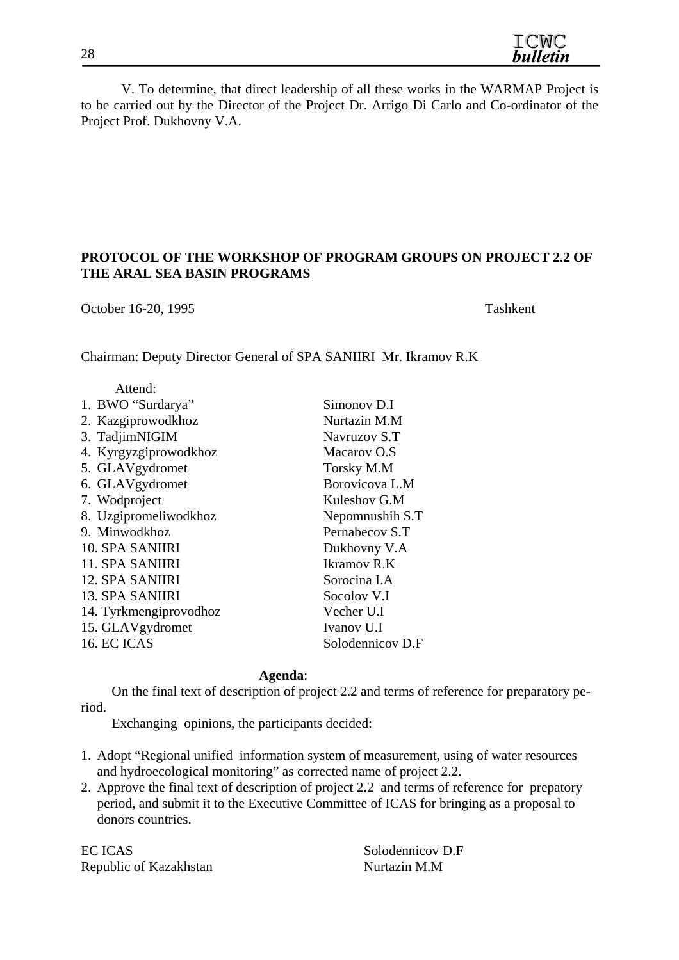V. To determine, that direct leadership of all these works in the WARMAP Project is to be carried out by the Director of the Project Dr. Arrigo Di Carlo and Co-ordinator of the Project Prof. Dukhovny V.A.

#### **PROTOCOL OF THE WORKSHOP OF PROGRAM GROUPS ON PROJECT 2.2 OF THE ARAL SEA BASIN PROGRAMS**

October 16-20, 1995 Tashkent

Chairman: Deputy Director General of SPA SANIIRI Mr. Ikramov R.K

| Simonov D.I      |
|------------------|
| Nurtazin M.M     |
| Navruzov S.T     |
| Macarov O.S      |
| Torsky M.M       |
| Borovicova L.M   |
| Kuleshov G.M     |
| Nepomnushih S.T  |
| Pernabecov S.T   |
| Dukhovny V.A     |
| Ikramov R.K      |
| Sorocina I.A     |
| Socolov V.I      |
| Vecher U.I       |
| Ivanov U.I       |
| Solodennicov D.F |
|                  |

#### **Agenda**:

 On the final text of description of project 2.2 and terms of reference for preparatory period.

Exchanging opinions, the participants decided:

- 1. Adopt "Regional unified information system of measurement, using of water resources and hydroecological monitoring" as corrected name of project 2.2.
- 2. Approve the final text of description of project 2.2 and terms of reference for prepatory period, and submit it to the Executive Committee of ICAS for bringing as a proposal to donors countries.

EC ICAS Solodennicov D.F Republic of Kazakhstan Nurtazin M.M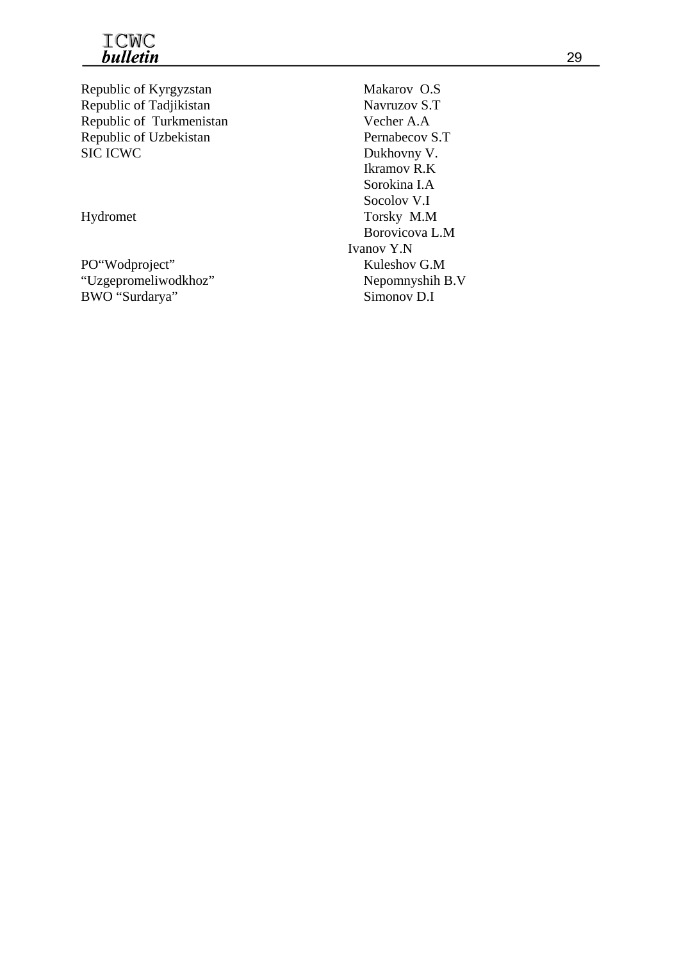

Republic of Kyrgyzstan Makarov O.S Republic of Tadjikistan Navruzov S.T Republic of Turkmenistan Vecher A.A Republic of Uzbekistan Pernabecov S.T SIC ICWC Dukhovny V.

PO"Wodproject" Kuleshov G.M "Uzgepromeliwodkhoz" Nepomnyshih B.V BWO "Surdarya" Simonov D.I

Ikramov R.K Sorokina I.A Socolov V.I Hydromet Torsky M.M Borovicova L.M Ivanov Y.N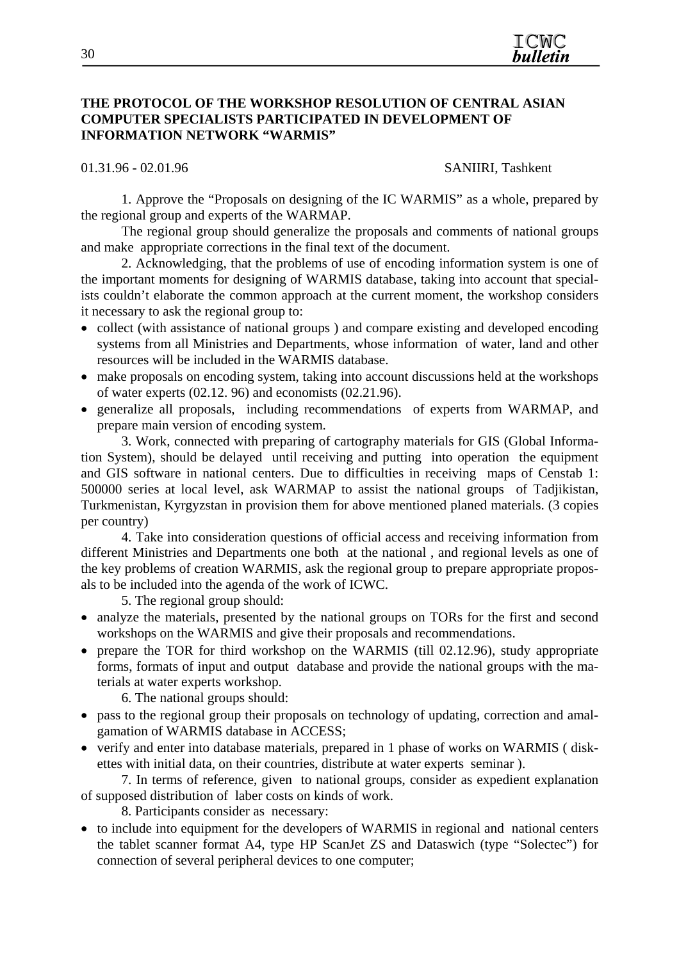#### **THE PROTOCOL OF THE WORKSHOP RESOLUTION OF CENTRAL ASIAN COMPUTER SPECIALISTS PARTICIPATED IN DEVELOPMENT OF INFORMATION NETWORK "WARMIS"**

01.31.96 - 02.01.96 SANIIRI, Tashkent

1. Approve the "Proposals on designing of the IC WARMIS" as a whole, prepared by the regional group and experts of the WARMAP.

The regional group should generalize the proposals and comments of national groups and make appropriate corrections in the final text of the document.

2. Acknowledging, that the problems of use of encoding information system is one of the important moments for designing of WARMIS database, taking into account that specialists couldn't elaborate the common approach at the current moment, the workshop considers it necessary to ask the regional group to:

- collect (with assistance of national groups) and compare existing and developed encoding systems from all Ministries and Departments, whose information of water, land and other resources will be included in the WARMIS database.
- make proposals on encoding system, taking into account discussions held at the workshops of water experts (02.12. 96) and economists (02.21.96).
- generalize all proposals, including recommendations of experts from WARMAP, and prepare main version of encoding system.

3. Work, connected with preparing of cartography materials for GIS (Global Information System), should be delayed until receiving and putting into operation the equipment and GIS software in national centers. Due to difficulties in receiving maps of Censtab 1: 500000 series at local level, ask WARMAP to assist the national groups of Tadjikistan, Turkmenistan, Kyrgyzstan in provision them for above mentioned planed materials. (3 copies per country)

4. Take into consideration questions of official access and receiving information from different Ministries and Departments one both at the national , and regional levels as one of the key problems of creation WARMIS, ask the regional group to prepare appropriate proposals to be included into the agenda of the work of ICWC.

5. The regional group should:

- analyze the materials, presented by the national groups on TORs for the first and second workshops on the WARMIS and give their proposals and recommendations.
- prepare the TOR for third workshop on the WARMIS (till 02.12.96), study appropriate forms, formats of input and output database and provide the national groups with the materials at water experts workshop.

6. The national groups should:

- pass to the regional group their proposals on technology of updating, correction and amalgamation of WARMIS database in ACCESS;
- verify and enter into database materials, prepared in 1 phase of works on WARMIS ( diskettes with initial data, on their countries, distribute at water experts seminar ).

7. In terms of reference, given to national groups, consider as expedient explanation of supposed distribution of laber costs on kinds of work.

8. Participants consider as necessary:

• to include into equipment for the developers of WARMIS in regional and national centers the tablet scanner format A4, type HP ScanJet ZS and Dataswich (type "Solectec") for connection of several peripheral devices to one computer;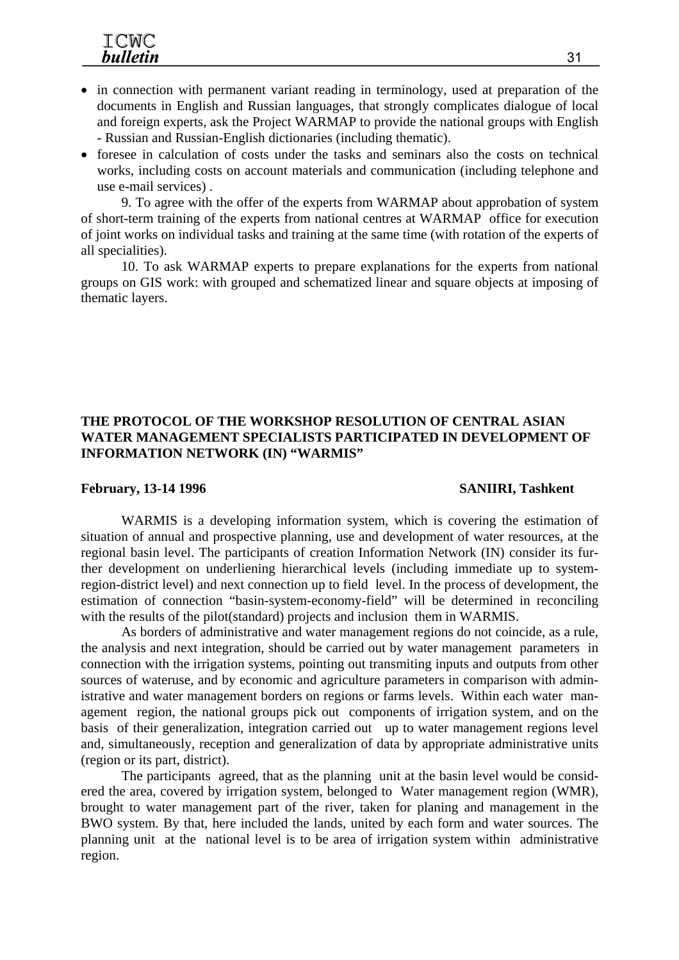- in connection with permanent variant reading in terminology, used at preparation of the documents in English and Russian languages, that strongly complicates dialogue of local and foreign experts, ask the Project WARMAP to provide the national groups with English - Russian and Russian-English dictionaries (including thematic).
- foresee in calculation of costs under the tasks and seminars also the costs on technical works, including costs on account materials and communication (including telephone and use e-mail services) .

9. To agree with the offer of the experts from WARMAP about approbation of system of short-term training of the experts from national centres at WARMAP office for execution of joint works on individual tasks and training at the same time (with rotation of the experts of all specialities).

10. To ask WARMAP experts to prepare explanations for the experts from national groups on GIS work: with grouped and schematized linear and square objects at imposing of thematic layers.

#### **THE PROTOCOL OF THE WORKSHOP RESOLUTION OF CENTRAL ASIAN WATER MANAGEMENT SPECIALISTS PARTICIPATED IN DEVELOPMENT OF INFORMATION NETWORK (IN) "WARMIS"**

#### February, 13-14 1996 SANIIRI, Tashkent

WARMIS is a developing information system, which is covering the estimation of situation of annual and prospective planning, use and development of water resources, at the regional basin level. The participants of creation Information Network (IN) consider its further development on underliening hierarchical levels (including immediate up to systemregion-district level) and next connection up to field level. In the process of development, the estimation of connection "basin-system-economy-field" will be determined in reconciling with the results of the pilot(standard) projects and inclusion them in WARMIS.

As borders of administrative and water management regions do not coincide, as a rule, the analysis and next integration, should be carried out by water management parameters in connection with the irrigation systems, pointing out transmiting inputs and outputs from other sources of wateruse, and by economic and agriculture parameters in comparison with administrative and water management borders on regions or farms levels. Within each water management region, the national groups pick out components of irrigation system, and on the basis of their generalization, integration carried out up to water management regions level and, simultaneously, reception and generalization of data by appropriate administrative units (region or its part, district).

The participants agreed, that as the planning unit at the basin level would be considered the area, covered by irrigation system, belonged to Water management region (WMR), brought to water management part of the river, taken for planing and management in the BWO system. By that, here included the lands, united by each form and water sources. The planning unit at the national level is to be area of irrigation system within administrative region.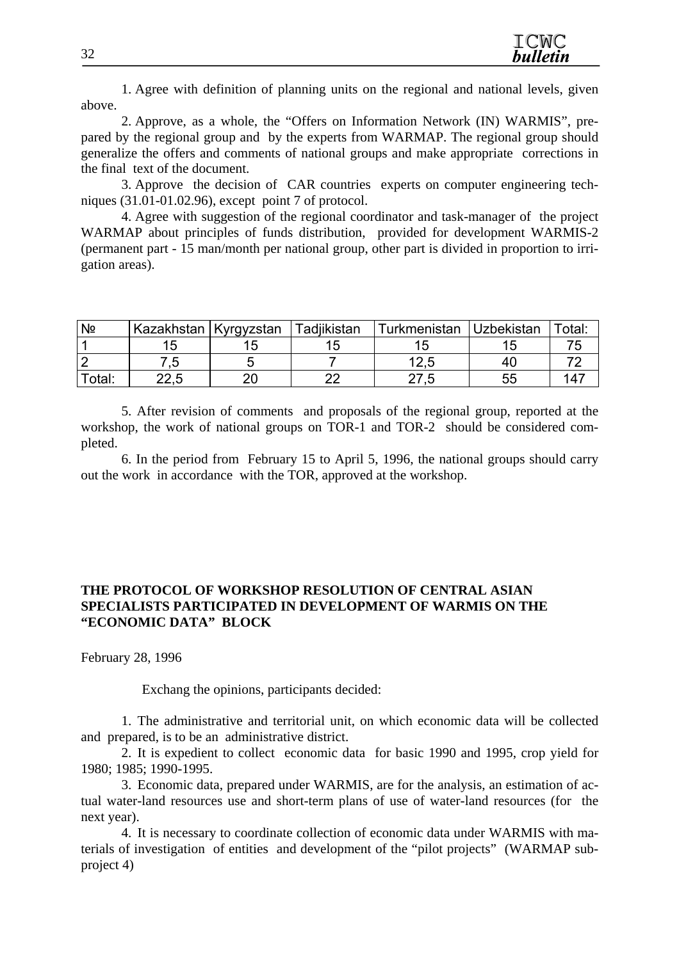1. Agree with definition of planning units on the regional and national levels, given above.

2. Approve, as a whole, the "Offers on Information Network (IN) WARMIS", prepared by the regional group and by the experts from WARMAP. The regional group should generalize the offers and comments of national groups and make appropriate corrections in the final text of the document.

3. Approve the decision of CAR countries experts on computer engineering techniques (31.01-01.02.96), except point 7 of protocol.

4. Agree with suggestion of the regional coordinator and task-manager of the project WARMAP about principles of funds distribution, provided for development WARMIS-2 (permanent part - 15 man/month per national group, other part is divided in proportion to irrigation areas).

| Nº     | Kazakhstan Kyrgyzstan |    | Tadjikistan | Turkmenistan | <b>Uzbekistan</b> | Total: |
|--------|-----------------------|----|-------------|--------------|-------------------|--------|
|        |                       |    |             |              |                   |        |
|        | .v                    |    |             | 1つ に         | 40                |        |
| Total: | າລ ⊳                  | า∩ | ົດຕ         |              | 55                |        |

5. After revision of comments and proposals of the regional group, reported at the workshop, the work of national groups on TOR-1 and TOR-2 should be considered completed.

6. In the period from February 15 to April 5, 1996, the national groups should carry out the work in accordance with the TOR, approved at the workshop.

#### **THE PROTOCOL OF WORKSHOP RESOLUTION OF CENTRAL ASIAN SPECIALISTS PARTICIPATED IN DEVELOPMENT OF WARMIS ON THE "ECONOMIC DATA" BLOCK**

February 28, 1996

Exchang the opinions, participants decided:

1. The administrative and territorial unit, on which economic data will be collected and prepared, is to be an administrative district.

2. It is expedient to collect economic data for basic 1990 and 1995, crop yield for 1980; 1985; 1990-1995.

3. Economic data, prepared under WARMIS, are for the analysis, an estimation of actual water-land resources use and short-term plans of use of water-land resources (for the next year).

4. It is necessary to coordinate collection of economic data under WARMIS with materials of investigation of entities and development of the "pilot projects" (WARMAP subproject 4)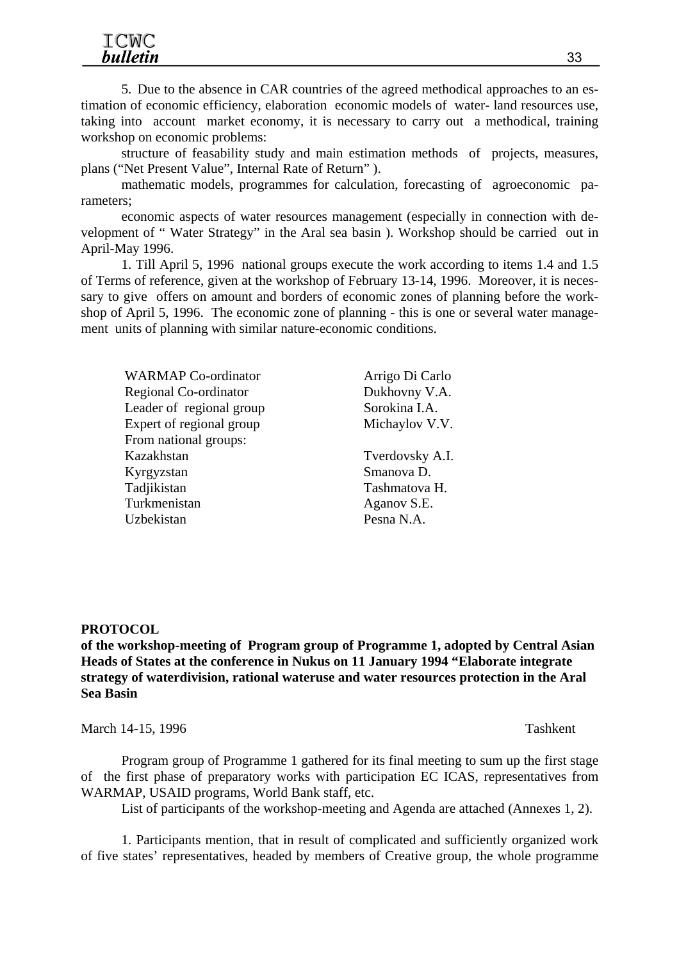5. Due to the absence in CAR countries of the agreed methodical approaches to an estimation of economic efficiency, elaboration economic models of water- land resources use, taking into account market economy, it is necessary to carry out a methodical, training workshop on economic problems:

structure of feasability study and main estimation methods of projects, measures, plans ("Net Present Value", Internal Rate of Return" ).

mathematic models, programmes for calculation, forecasting of agroeconomic parameters;

economic aspects of water resources management (especially in connection with development of " Water Strategy" in the Aral sea basin ). Workshop should be carried out in April-May 1996.

1. Till April 5, 1996 national groups execute the work according to items 1.4 and 1.5 of Terms of reference, given at the workshop of February 13-14, 1996. Moreover, it is necessary to give offers on amount and borders of economic zones of planning before the workshop of April 5, 1996. The economic zone of planning - this is one or several water management units of planning with similar nature-economic conditions.

WARMAP Co-ordinator **Arrigo Di Carlo** Regional Co-ordinator Dukhovny V.A. Leader of regional group Sorokina I.A. Expert of regional group Michaylov V.V. From national groups: Kazakhstan Tverdovsky A.I. Kyrgyzstan Smanova D. Tadjikistan Tashmatova H. Turkmenistan Aganov S.E. Uzbekistan Pesna N.A.

#### **PROTOCOL**

**of the workshop-meeting of Program group of Programme 1, adopted by Central Asian Heads of States at the conference in Nukus on 11 January 1994 "Elaborate integrate strategy of waterdivision, rational wateruse and water resources protection in the Aral Sea Basin** 

March 14-15, 1996 Tashkent

Program group of Programme 1 gathered for its final meeting to sum up the first stage of the first phase of preparatory works with participation EC ICAS, representatives from WARMAP, USAID programs, World Bank staff, etc.

List of participants of the workshop-meeting and Agenda are attached (Annexes 1, 2).

1. Participants mention, that in result of complicated and sufficiently organized work of five states' representatives, headed by members of Creative group, the whole programme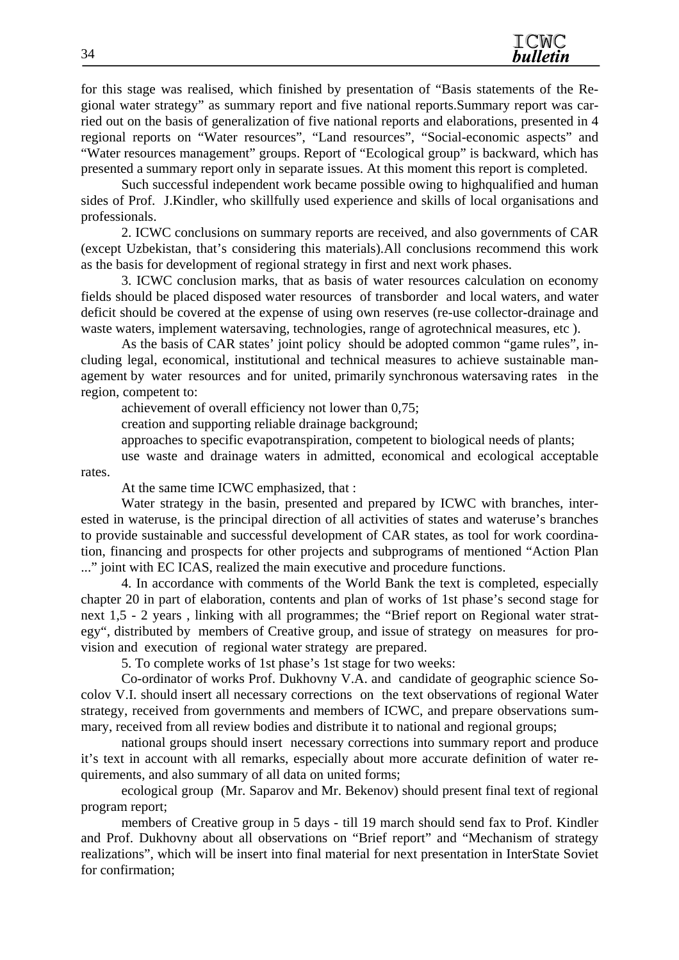for this stage was realised, which finished by presentation of "Basis statements of the Regional water strategy" as summary report and five national reports.Summary report was carried out on the basis of generalization of five national reports and elaborations, presented in 4 regional reports on "Water resources", "Land resources", "Social-economic aspects" and "Water resources management" groups. Report of "Ecological group" is backward, which has presented a summary report only in separate issues. At this moment this report is completed.

Such successful independent work became possible owing to highqualified and human sides of Prof. J.Kindler, who skillfully used experience and skills of local organisations and professionals.

2. ICWC conclusions on summary reports are received, and also governments of CAR (except Uzbekistan, that's considering this materials).All conclusions recommend this work as the basis for development of regional strategy in first and next work phases.

3. ICWC conclusion marks, that as basis of water resources calculation on economy fields should be placed disposed water resources of transborder and local waters, and water deficit should be covered at the expense of using own reserves (re-use collector-drainage and waste waters, implement watersaving, technologies, range of agrotechnical measures, etc ).

As the basis of CAR states' joint policy should be adopted common "game rules", including legal, economical, institutional and technical measures to achieve sustainable management by water resources and for united, primarily synchronous watersaving rates in the region, competent to:

achievement of overall efficiency not lower than 0,75;

creation and supporting reliable drainage background;

approaches to specific evapotranspiration, competent to biological needs of plants;

use waste and drainage waters in admitted, economical and ecological acceptable rates.

At the same time ICWC emphasized, that :

Water strategy in the basin, presented and prepared by ICWC with branches, interested in wateruse, is the principal direction of all activities of states and wateruse's branches to provide sustainable and successful development of CAR states, as tool for work coordination, financing and prospects for other projects and subprograms of mentioned "Action Plan ..." joint with EC ICAS, realized the main executive and procedure functions.

4. In accordance with comments of the World Bank the text is completed, especially chapter 20 in part of elaboration, contents and plan of works of 1st phase's second stage for next 1,5 - 2 years , linking with all programmes; the "Brief report on Regional water strategy", distributed by members of Creative group, and issue of strategy on measures for provision and execution of regional water strategy are prepared.

5. To complete works of 1st phase's 1st stage for two weeks:

Co-ordinator of works Prof. Dukhovny V.A. and candidate of geographic science Socolov V.I. should insert all necessary corrections on the text observations of regional Water strategy, received from governments and members of ICWC, and prepare observations summary, received from all review bodies and distribute it to national and regional groups;

national groups should insert necessary corrections into summary report and produce it's text in account with all remarks, especially about more accurate definition of water requirements, and also summary of all data on united forms;

ecological group (Mr. Saparov and Mr. Bekenov) should present final text of regional program report;

members of Creative group in 5 days - till 19 march should send fax to Prof. Kindler and Prof. Dukhovny about all observations on "Brief report" and "Mechanism of strategy realizations", which will be insert into final material for next presentation in InterState Soviet for confirmation;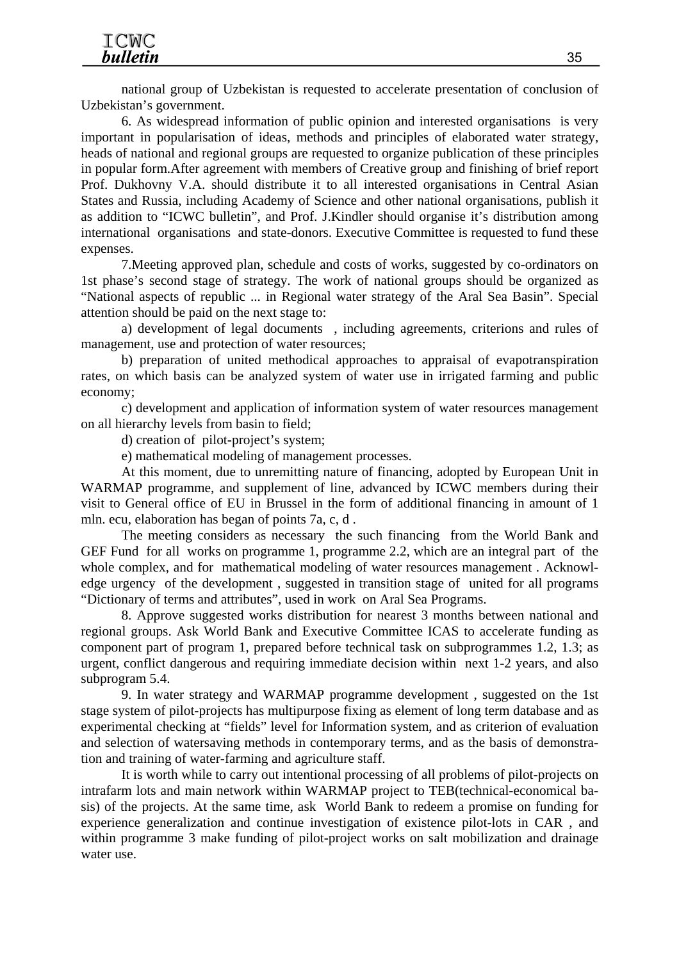national group of Uzbekistan is requested to accelerate presentation of conclusion of Uzbekistan's government.

6. As widespread information of public opinion and interested organisations is very important in popularisation of ideas, methods and principles of elaborated water strategy, heads of national and regional groups are requested to organize publication of these principles in popular form.After agreement with members of Creative group and finishing of brief report Prof. Dukhovny V.A. should distribute it to all interested organisations in Central Asian States and Russia, including Academy of Science and other national organisations, publish it as addition to "ICWC bulletin", and Prof. J.Kindler should organise it's distribution among international organisations and state-donors. Executive Committee is requested to fund these expenses.

7.Meeting approved plan, schedule and costs of works, suggested by co-ordinators on 1st phase's second stage of strategy. The work of national groups should be organized as "National aspects of republic ... in Regional water strategy of the Aral Sea Basin". Special attention should be paid on the next stage to:

a) development of legal documents , including agreements, criterions and rules of management, use and protection of water resources;

b) preparation of united methodical approaches to appraisal of evapotranspiration rates, on which basis can be analyzed system of water use in irrigated farming and public economy;

c) development and application of information system of water resources management on all hierarchy levels from basin to field;

d) creation of pilot-project's system;

e) mathematical modeling of management processes.

At this moment, due to unremitting nature of financing, adopted by European Unit in WARMAP programme, and supplement of line, advanced by ICWC members during their visit to General office of EU in Brussel in the form of additional financing in amount of 1 mln. ecu, elaboration has began of points 7a, c, d .

The meeting considers as necessary the such financing from the World Bank and GEF Fund for all works on programme 1, programme 2.2, which are an integral part of the whole complex, and for mathematical modeling of water resources management. Acknowledge urgency of the development , suggested in transition stage of united for all programs "Dictionary of terms and attributes", used in work on Aral Sea Programs.

8. Approve suggested works distribution for nearest 3 months between national and regional groups. Ask World Bank and Executive Committee ICAS to accelerate funding as component part of program 1, prepared before technical task on subprogrammes 1.2, 1.3; as urgent, conflict dangerous and requiring immediate decision within next 1-2 years, and also subprogram 5.4.

9. In water strategy and WARMAP programme development , suggested on the 1st stage system of pilot-projects has multipurpose fixing as element of long term database and as experimental checking at "fields" level for Information system, and as criterion of evaluation and selection of watersaving methods in contemporary terms, and as the basis of demonstration and training of water-farming and agriculture staff.

It is worth while to carry out intentional processing of all problems of pilot-projects on intrafarm lots and main network within WARMAP project to TEB(technical-economical basis) of the projects. At the same time, ask World Bank to redeem a promise on funding for experience generalization and continue investigation of existence pilot-lots in CAR , and within programme 3 make funding of pilot-project works on salt mobilization and drainage water use.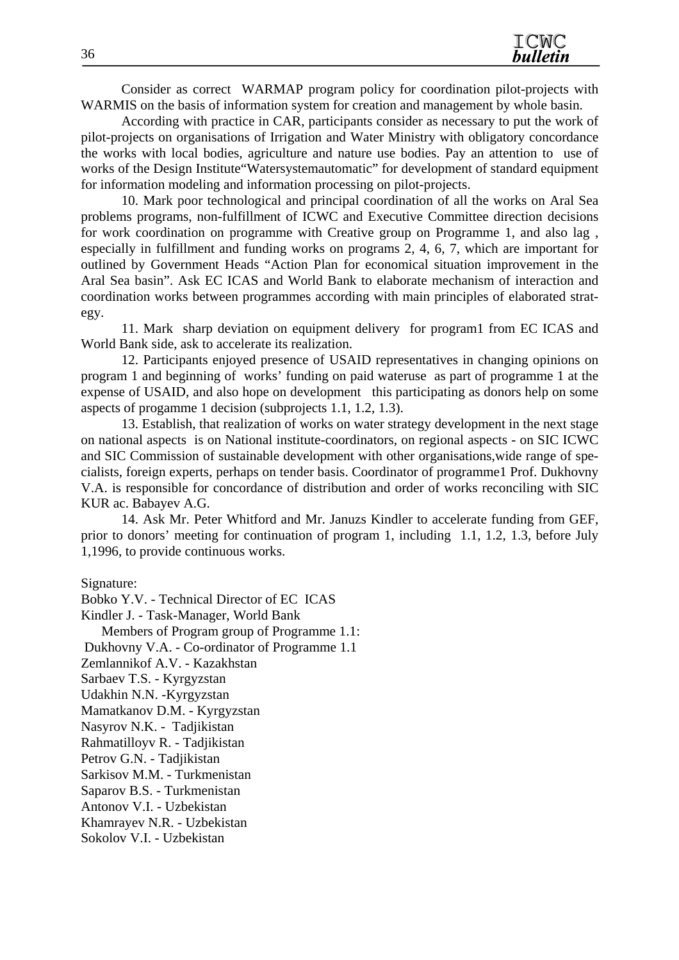Consider as correct WARMAP program policy for coordination pilot-projects with WARMIS on the basis of information system for creation and management by whole basin.

According with practice in CAR, participants consider as necessary to put the work of pilot-projects on organisations of Irrigation and Water Ministry with obligatory concordance the works with local bodies, agriculture and nature use bodies. Pay an attention to use of works of the Design Institute"Watersystemautomatic" for development of standard equipment for information modeling and information processing on pilot-projects.

10. Mark poor technological and principal coordination of all the works on Aral Sea problems programs, non-fulfillment of ICWC and Executive Committee direction decisions for work coordination on programme with Creative group on Programme 1, and also lag , especially in fulfillment and funding works on programs 2, 4, 6, 7, which are important for outlined by Government Heads "Action Plan for economical situation improvement in the Aral Sea basin". Ask EC ICAS and World Bank to elaborate mechanism of interaction and coordination works between programmes according with main principles of elaborated strategy.

11. Mark sharp deviation on equipment delivery for program1 from EC ICAS and World Bank side, ask to accelerate its realization.

12. Participants enjoyed presence of USAID representatives in changing opinions on program 1 and beginning of works' funding on paid wateruse as part of programme 1 at the expense of USAID, and also hope on development this participating as donors help on some aspects of progamme 1 decision (subprojects 1.1, 1.2, 1.3).

13. Establish, that realization of works on water strategy development in the next stage on national aspects is on National institute-coordinators, on regional aspects - on SIC ICWC and SIC Commission of sustainable development with other organisations,wide range of specialists, foreign experts, perhaps on tender basis. Coordinator of programme1 Prof. Dukhovny V.A. is responsible for concordance of distribution and order of works reconciling with SIC KUR ac. Babayev A.G.

14. Ask Mr. Peter Whitford and Mr. Januzs Kindler to accelerate funding from GEF, prior to donors' meeting for continuation of program 1, including 1.1, 1.2, 1.3, before July 1,1996, to provide continuous works.

Signature:

Bobko Y.V. - Technical Director of EC ICAS Kindler J. - Task-Manager, World Bank Members of Program group of Programme 1.1: Dukhovny V.A. - Co-ordinator of Programme 1.1 Zemlannikof A.V. - Kazakhstan Sarbaev T.S. - Kyrgyzstan Udakhin N.N. -Kyrgyzstan Mamatkanov D.M. - Kyrgyzstan Nasyrov N.K. - Tadjikistan Rahmatilloyv R. - Tadjikistan Petrov G.N. - Tadjikistan Sarkisov M.M. - Turkmenistan Saparov B.S. - Turkmenistan Antonov V.I. - Uzbekistan Khamrayev N.R. - Uzbekistan Sokolov V.I. - Uzbekistan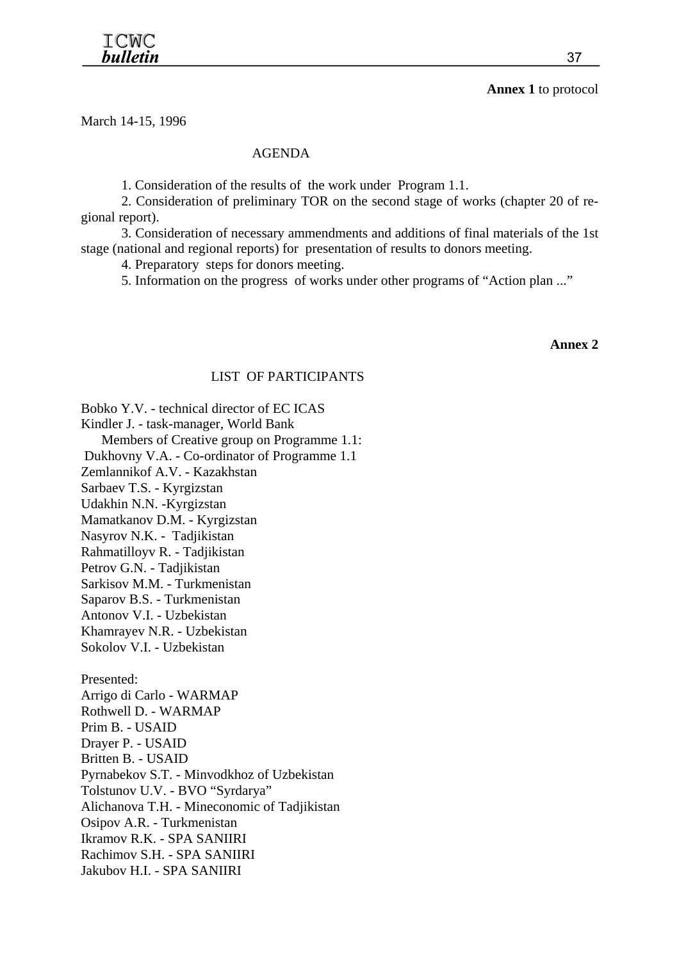#### **Annex 1** to protocol

March 14-15, 1996

#### AGENDA

1. Consideration of the results of the work under Program 1.1.

2. Consideration of preliminary TOR on the second stage of works (chapter 20 of regional report).

3. Consideration of necessary ammendments and additions of final materials of the 1st stage (national and regional reports) for presentation of results to donors meeting.

4. Preparatory steps for donors meeting.

5. Information on the progress of works under other programs of "Action plan ..."

**Annex 2** 

#### LIST OF PARTICIPANTS

Bobko Y.V. - technical director of EC ICAS

Kindler J. - task-manager, World Bank

Members of Creative group on Programme 1.1:

Dukhovny V.A. - Co-ordinator of Programme 1.1

Zemlannikof A.V. - Kazakhstan

Sarbaev T.S. - Kyrgizstan

Udakhin N.N. -Kyrgizstan

Mamatkanov D.M. - Kyrgizstan

Nasyrov N.K. - Tadjikistan

Rahmatilloyv R. - Tadjikistan

Petrov G.N. - Tadjikistan

Sarkisov M.M. - Turkmenistan

Saparov B.S. - Turkmenistan

Antonov V.I. - Uzbekistan

Khamrayev N.R. - Uzbekistan

Sokolov V.I. - Uzbekistan

Presented: Arrigo di Carlo - WARMAP Rothwell D. - WARMAP Prim B. - USAID Drayer P. - USAID Britten B. - USAID Pyrnabekov S.T. - Minvodkhoz of Uzbekistan Tolstunov U.V. - BVO "Syrdarya" Alichanova T.H. - Mineconomic of Tadjikistan Osipov A.R. - Turkmenistan Ikramov R.K. - SPA SANIIRI Rachimov S.H. - SPA SANIIRI Jakubov H.I. - SPA SANIIRI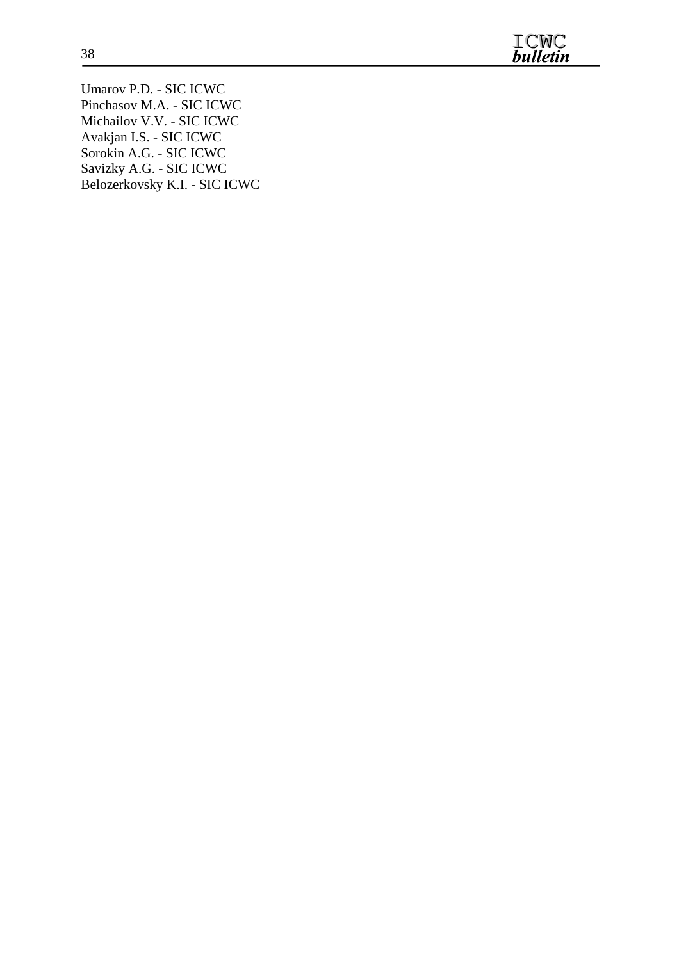

Umarov P.D. - SIC ICWC Pinchasov M.A. - SIC ICWC Michailov V.V. - SIC ICWC Avakjan I.S. - SIC ICWC Sorokin A.G. - SIC ICWC Savizky A.G. - SIC ICWC Belozerkovsky K.I. - SIC ICWC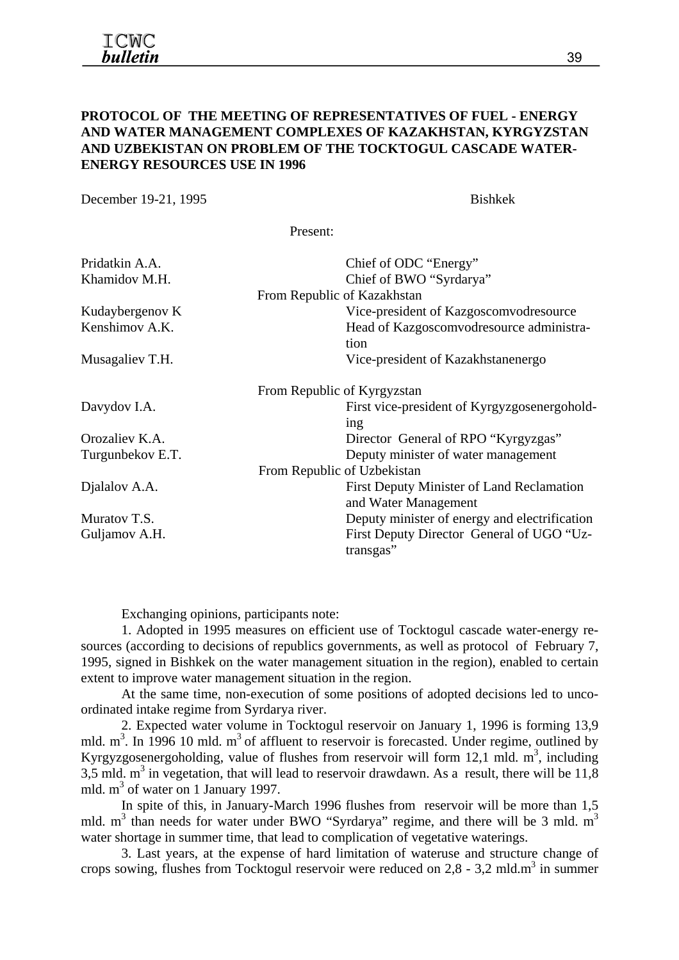#### **PROTOCOL OF THE MEETING OF REPRESENTATIVES OF FUEL - ENERGY AND WATER MANAGEMENT COMPLEXES OF KAZAKHSTAN, KYRGYZSTAN AND UZBEKISTAN ON PROBLEM OF THE TOCKTOGUL CASCADE WATER-ENERGY RESOURCES USE IN 1996**

December 19-21, 1995 Bishkek

Present:

| Pridatkin A.A.<br>Khamidov M.H. | Chief of ODC "Energy"<br>Chief of BWO "Syrdarya"<br>From Republic of Kazakhstan |
|---------------------------------|---------------------------------------------------------------------------------|
| Kudaybergenov K                 | Vice-president of Kazgoscomvodresource                                          |
| Kenshimov A.K.                  | Head of Kazgoscomvodresource administra-<br>tion                                |
| Musagaliev T.H.                 | Vice-president of Kazakhstanenergo                                              |
|                                 | From Republic of Kyrgyzstan                                                     |
| Davydov I.A.                    | First vice-president of Kyrgyzgosenergohold-<br>ing                             |
| Orozaliev K.A.                  | Director General of RPO "Kyrgyzgas"                                             |
| Turgunbekov E.T.                | Deputy minister of water management                                             |
|                                 | From Republic of Uzbekistan                                                     |
| Dialalov A.A.                   | First Deputy Minister of Land Reclamation<br>and Water Management               |
| Muratov T.S.                    | Deputy minister of energy and electrification                                   |
| Guljamov A.H.                   | First Deputy Director General of UGO "Uz-<br>transgas"                          |

Exchanging opinions, participants note:

1. Adopted in 1995 measures on efficient use of Tocktogul cascade water-energy resources (according to decisions of republics governments, as well as protocol of February 7, 1995, signed in Bishkek on the water management situation in the region), enabled to certain extent to improve water management situation in the region.

At the same time, non-execution of some positions of adopted decisions led to uncoordinated intake regime from Syrdarya river.

2. Expected water volume in Tocktogul reservoir on January 1, 1996 is forming 13,9 mld.  $m<sup>3</sup>$ . In 1996 10 mld.  $m<sup>3</sup>$  of affluent to reservoir is forecasted. Under regime, outlined by Kyrgyzgosenergoholding, value of flushes from reservoir will form 12,1 mld.  $m<sup>3</sup>$ , including  $3,5$  mld. m<sup>3</sup> in vegetation, that will lead to reservoir drawdawn. As a result, there will be 11,8 mld. m<sup>3</sup> of water on 1 January 1997.

In spite of this, in January-March 1996 flushes from reservoir will be more than 1,5 mld.  $m<sup>3</sup>$  than needs for water under BWO "Syrdarya" regime, and there will be 3 mld.  $m<sup>3</sup>$ water shortage in summer time, that lead to complication of vegetative waterings.

3. Last years, at the expense of hard limitation of wateruse and structure change of crops sowing, flushes from Tocktogul reservoir were reduced on  $2,8$  - 3,2 mld.m<sup>3</sup> in summer